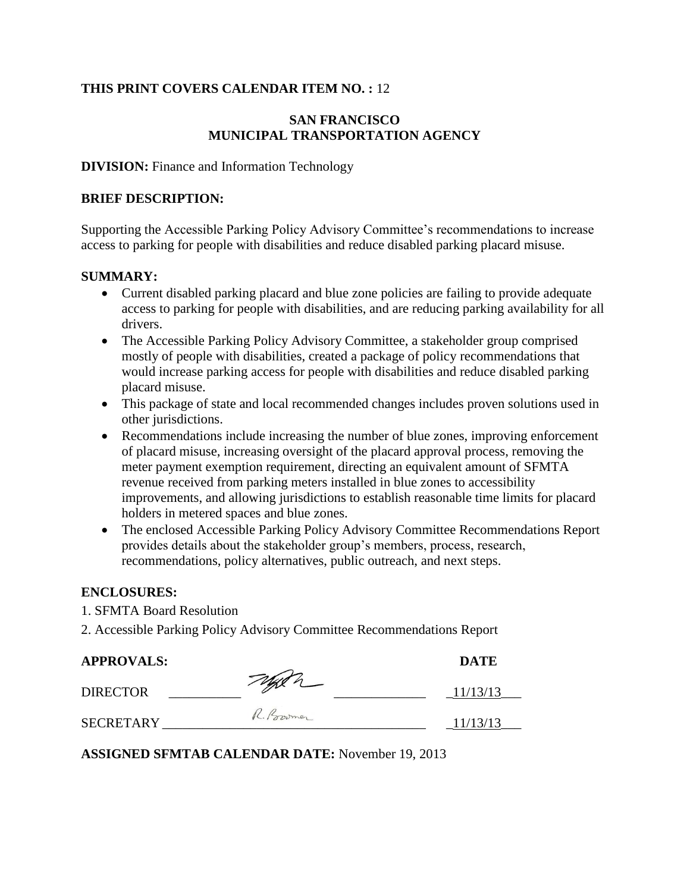#### **THIS PRINT COVERS CALENDAR ITEM NO. :** 12

#### **SAN FRANCISCO MUNICIPAL TRANSPORTATION AGENCY**

#### **DIVISION:** Finance and Information Technology

#### **BRIEF DESCRIPTION:**

Supporting the Accessible Parking Policy Advisory Committee's recommendations to increase access to parking for people with disabilities and reduce disabled parking placard misuse.

#### **SUMMARY:**

- Current disabled parking placard and blue zone policies are failing to provide adequate access to parking for people with disabilities, and are reducing parking availability for all drivers.
- The Accessible Parking Policy Advisory Committee, a stakeholder group comprised mostly of people with disabilities, created a package of policy recommendations that would increase parking access for people with disabilities and reduce disabled parking placard misuse.
- This package of state and local recommended changes includes proven solutions used in other jurisdictions.
- Recommendations include increasing the number of blue zones, improving enforcement of placard misuse, increasing oversight of the placard approval process, removing the meter payment exemption requirement, directing an equivalent amount of SFMTA revenue received from parking meters installed in blue zones to accessibility improvements, and allowing jurisdictions to establish reasonable time limits for placard holders in metered spaces and blue zones.
- The enclosed Accessible Parking Policy Advisory Committee Recommendations Report provides details about the stakeholder group's members, process, research, recommendations, policy alternatives, public outreach, and next steps.

#### **ENCLOSURES:**

- 1. SFMTA Board Resolution
- 2. Accessible Parking Policy Advisory Committee Recommendations Report

| <b>APPROVALS:</b> |           | <b>DATE</b> |
|-------------------|-----------|-------------|
| <b>DIRECTOR</b>   | Tagen     | 11/13/13    |
| <b>SECRETARY</b>  | R. Powmer | 11/13/13    |

**ASSIGNED SFMTAB CALENDAR DATE:** November 19, 2013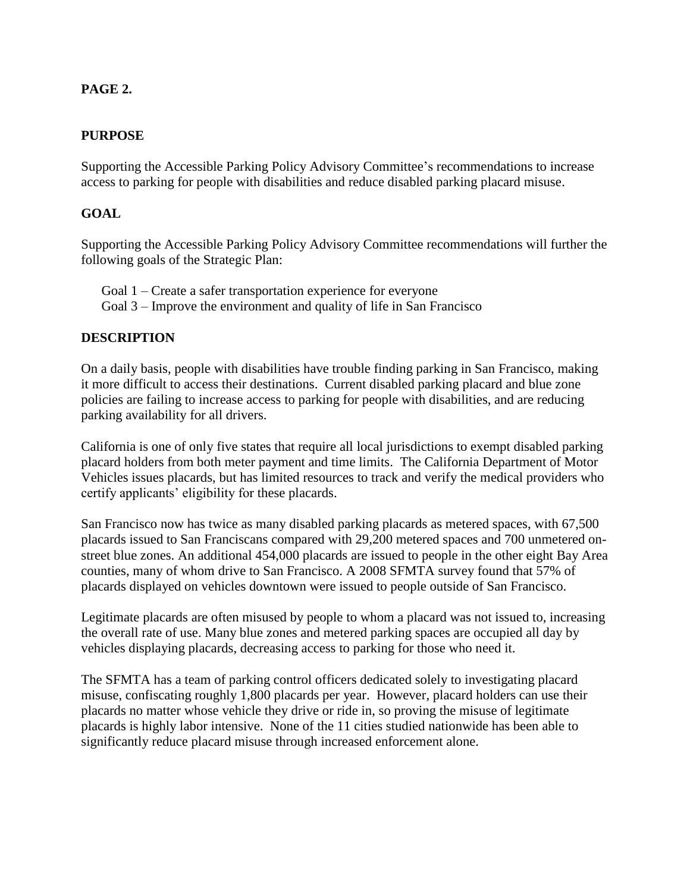#### **PAGE . 2.**

#### **PURPOSE**

Supporting the Accessible Parking Policy Advisory Committee's recommendations to increase access to parking for people with disabilities and reduce disabled parking placard misuse.

#### **GOAL**

Supporting the Accessible Parking Policy Advisory Committee recommendations will further the following goals of the Strategic Plan:

Goal 1 – Create a safer transportation experience for everyone Goal 3 – Improve the environment and quality of life in San Francisco

#### **DESCRIPTION**

On a daily basis, people with disabilities have trouble finding parking in San Francisco, making it more difficult to access their destinations. Current disabled parking placard and blue zone policies are failing to increase access to parking for people with disabilities, and are reducing parking availability for all drivers.

California is one of only five states that require all local jurisdictions to exempt disabled parking placard holders from both meter payment and time limits. The California Department of Motor Vehicles issues placards, but has limited resources to track and verify the medical providers who certify applicants' eligibility for these placards.

San Francisco now has twice as many disabled parking placards as metered spaces, with 67,500 placards issued to San Franciscans compared with 29,200 metered spaces and 700 unmetered onstreet blue zones. An additional 454,000 placards are issued to people in the other eight Bay Area counties, many of whom drive to San Francisco. A 2008 SFMTA survey found that 57% of placards displayed on vehicles downtown were issued to people outside of San Francisco.

Legitimate placards are often misused by people to whom a placard was not issued to, increasing the overall rate of use. Many blue zones and metered parking spaces are occupied all day by vehicles displaying placards, decreasing access to parking for those who need it.

The SFMTA has a team of parking control officers dedicated solely to investigating placard misuse, confiscating roughly 1,800 placards per year. However, placard holders can use their placards no matter whose vehicle they drive or ride in, so proving the misuse of legitimate placards is highly labor intensive. None of the 11 cities studied nationwide has been able to significantly reduce placard misuse through increased enforcement alone.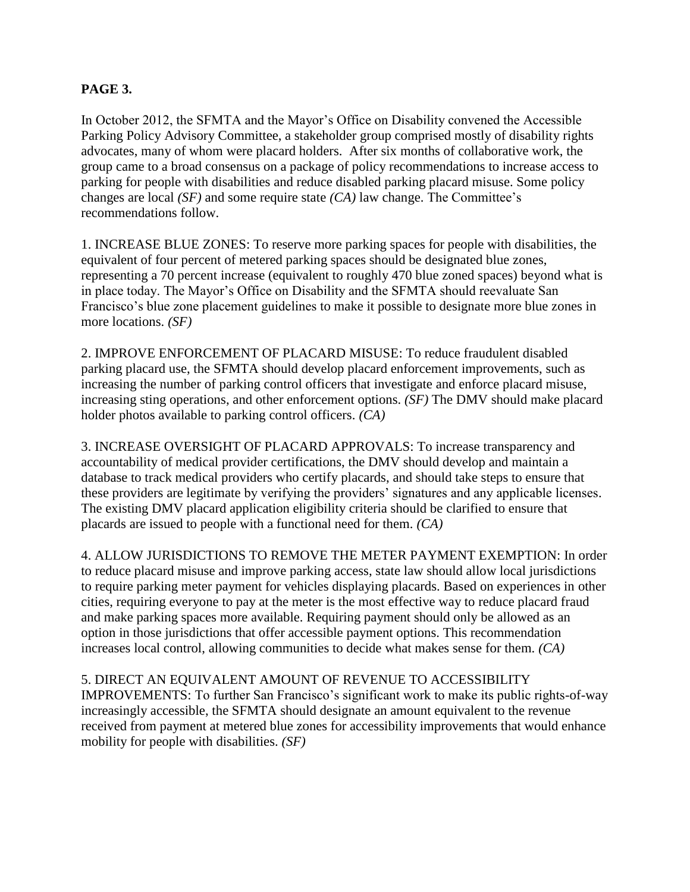#### **PAGE . 3.**

In October 2012, the SFMTA and the Mayor's Office on Disability convened the Accessible Parking Policy Advisory Committee, a stakeholder group comprised mostly of disability rights advocates, many of whom were placard holders. After six months of collaborative work, the group came to a broad consensus on a package of policy recommendations to increase access to parking for people with disabilities and reduce disabled parking placard misuse. Some policy changes are local *(SF)* and some require state *(CA)* law change. The Committee's recommendations follow.

1. INCREASE BLUE ZONES: To reserve more parking spaces for people with disabilities, the equivalent of four percent of metered parking spaces should be designated blue zones, representing a 70 percent increase (equivalent to roughly 470 blue zoned spaces) beyond what is in place today. The Mayor's Office on Disability and the SFMTA should reevaluate San Francisco's blue zone placement guidelines to make it possible to designate more blue zones in more locations. *(SF)*

2. IMPROVE ENFORCEMENT OF PLACARD MISUSE: To reduce fraudulent disabled parking placard use, the SFMTA should develop placard enforcement improvements, such as increasing the number of parking control officers that investigate and enforce placard misuse, increasing sting operations, and other enforcement options. *(SF)* The DMV should make placard holder photos available to parking control officers. *(CA)*

3. INCREASE OVERSIGHT OF PLACARD APPROVALS: To increase transparency and accountability of medical provider certifications, the DMV should develop and maintain a database to track medical providers who certify placards, and should take steps to ensure that these providers are legitimate by verifying the providers' signatures and any applicable licenses. The existing DMV placard application eligibility criteria should be clarified to ensure that placards are issued to people with a functional need for them. *(CA)*

4. ALLOW JURISDICTIONS TO REMOVE THE METER PAYMENT EXEMPTION: In order to reduce placard misuse and improve parking access, state law should allow local jurisdictions to require parking meter payment for vehicles displaying placards. Based on experiences in other cities, requiring everyone to pay at the meter is the most effective way to reduce placard fraud and make parking spaces more available. Requiring payment should only be allowed as an option in those jurisdictions that offer accessible payment options. This recommendation increases local control, allowing communities to decide what makes sense for them. *(CA)*

#### 5. DIRECT AN EQUIVALENT AMOUNT OF REVENUE TO ACCESSIBILITY

IMPROVEMENTS: To further San Francisco's significant work to make its public rights-of-way increasingly accessible, the SFMTA should designate an amount equivalent to the revenue received from payment at metered blue zones for accessibility improvements that would enhance mobility for people with disabilities. *(SF)*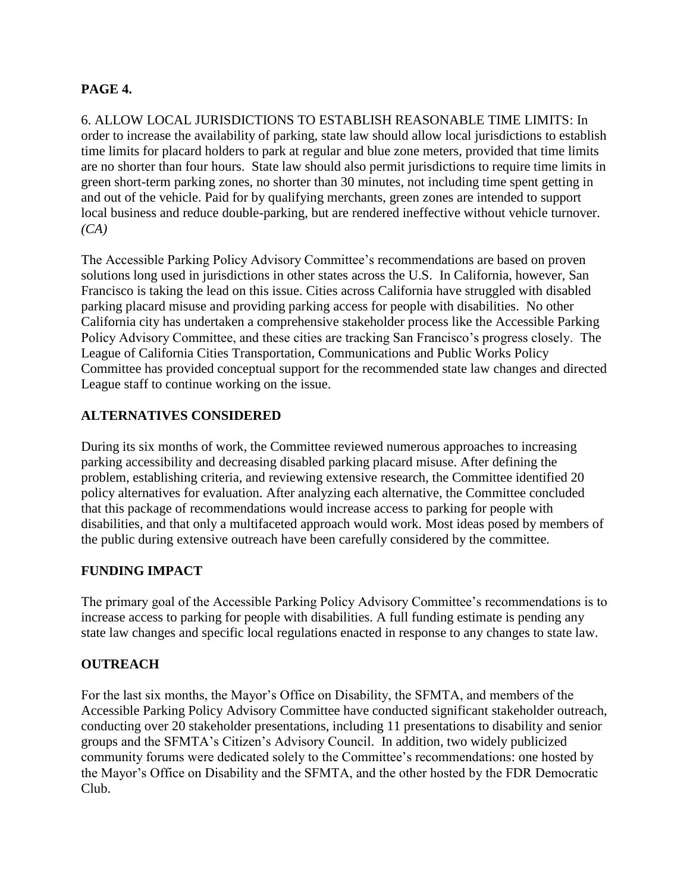#### **PAGE 4.**

6. ALLOW LOCAL JURISDICTIONS TO ESTABLISH REASONABLE TIME LIMITS: In order to increase the availability of parking, state law should allow local jurisdictions to establish time limits for placard holders to park at regular and blue zone meters, provided that time limits are no shorter than four hours. State law should also permit jurisdictions to require time limits in green short-term parking zones, no shorter than 30 minutes, not including time spent getting in and out of the vehicle. Paid for by qualifying merchants, green zones are intended to support local business and reduce double-parking, but are rendered ineffective without vehicle turnover. *(CA)*

The Accessible Parking Policy Advisory Committee's recommendations are based on proven solutions long used in jurisdictions in other states across the U.S. In California, however, San Francisco is taking the lead on this issue. Cities across California have struggled with disabled parking placard misuse and providing parking access for people with disabilities. No other California city has undertaken a comprehensive stakeholder process like the Accessible Parking Policy Advisory Committee, and these cities are tracking San Francisco's progress closely. The League of California Cities Transportation, Communications and Public Works Policy Committee has provided conceptual support for the recommended state law changes and directed League staff to continue working on the issue.

#### **ALTERNATIVES CONSIDERED**

During its six months of work, the Committee reviewed numerous approaches to increasing parking accessibility and decreasing disabled parking placard misuse. After defining the problem, establishing criteria, and reviewing extensive research, the Committee identified 20 policy alternatives for evaluation. After analyzing each alternative, the Committee concluded that this package of recommendations would increase access to parking for people with disabilities, and that only a multifaceted approach would work. Most ideas posed by members of the public during extensive outreach have been carefully considered by the committee.

#### **FUNDING IMPACT**

The primary goal of the Accessible Parking Policy Advisory Committee's recommendations is to increase access to parking for people with disabilities. A full funding estimate is pending any state law changes and specific local regulations enacted in response to any changes to state law.

#### **OUTREACH**

For the last six months, the Mayor's Office on Disability, the SFMTA, and members of the Accessible Parking Policy Advisory Committee have conducted significant stakeholder outreach, conducting over 20 stakeholder presentations, including 11 presentations to disability and senior groups and the SFMTA's Citizen's Advisory Council. In addition, two widely publicized community forums were dedicated solely to the Committee's recommendations: one hosted by the Mayor's Office on Disability and the SFMTA, and the other hosted by the FDR Democratic Club.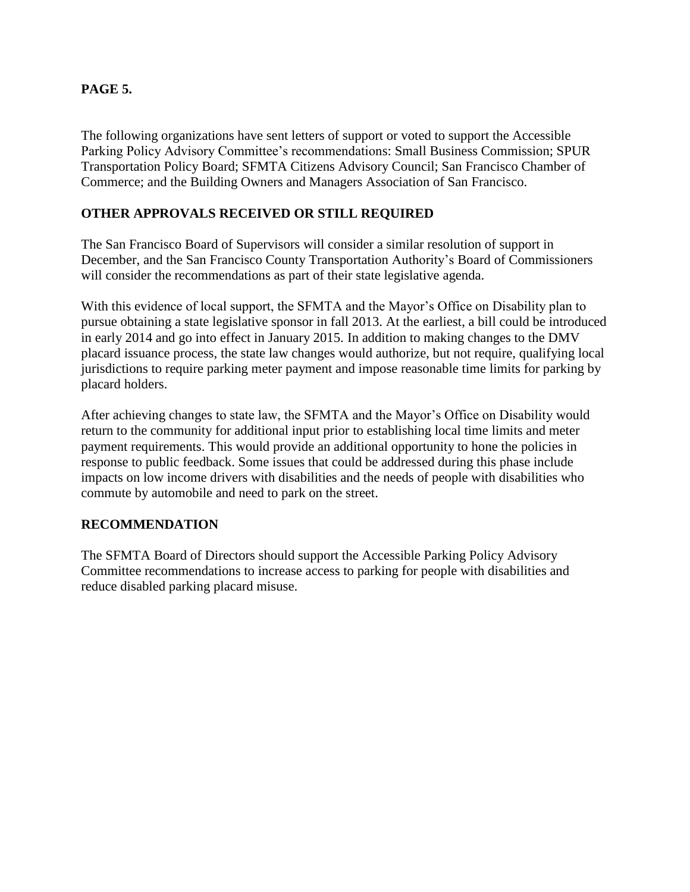#### **PAGE . 5.**

The following organizations have sent letters of support or voted to support the Accessible Parking Policy Advisory Committee's recommendations: Small Business Commission; SPUR Transportation Policy Board; SFMTA Citizens Advisory Council; San Francisco Chamber of Commerce; and the Building Owners and Managers Association of San Francisco.

#### **OTHER APPROVALS RECEIVED OR STILL REQUIRED**

The San Francisco Board of Supervisors will consider a similar resolution of support in December, and the San Francisco County Transportation Authority's Board of Commissioners will consider the recommendations as part of their state legislative agenda.

With this evidence of local support, the SFMTA and the Mayor's Office on Disability plan to pursue obtaining a state legislative sponsor in fall 2013. At the earliest, a bill could be introduced in early 2014 and go into effect in January 2015. In addition to making changes to the DMV placard issuance process, the state law changes would authorize, but not require, qualifying local jurisdictions to require parking meter payment and impose reasonable time limits for parking by placard holders.

After achieving changes to state law, the SFMTA and the Mayor's Office on Disability would return to the community for additional input prior to establishing local time limits and meter payment requirements. This would provide an additional opportunity to hone the policies in response to public feedback. Some issues that could be addressed during this phase include impacts on low income drivers with disabilities and the needs of people with disabilities who commute by automobile and need to park on the street.

#### **RECOMMENDATION**

The SFMTA Board of Directors should support the Accessible Parking Policy Advisory Committee recommendations to increase access to parking for people with disabilities and reduce disabled parking placard misuse.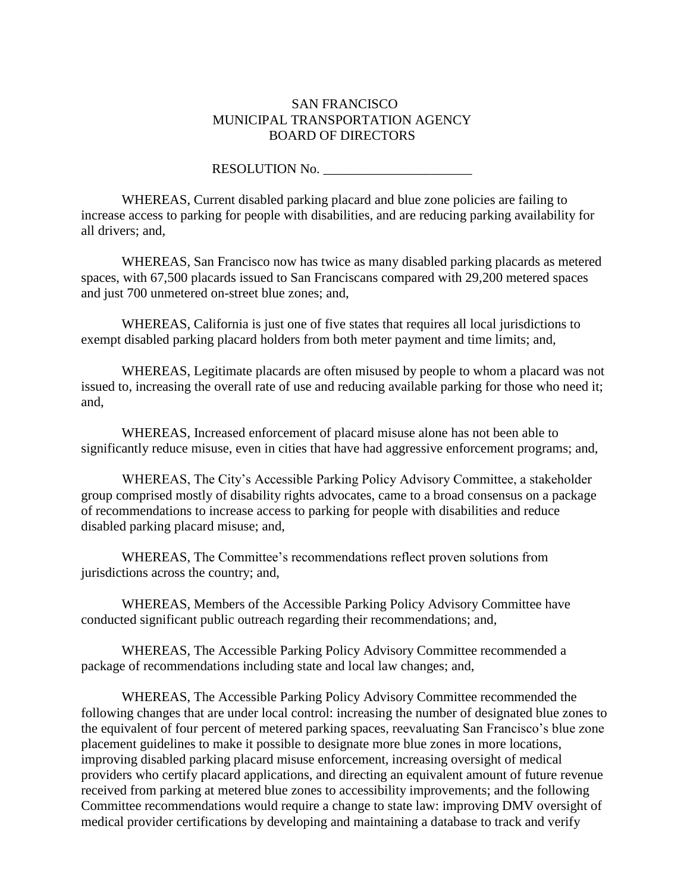#### SAN FRANCISCO MUNICIPAL TRANSPORTATION AGENCY BOARD OF DIRECTORS

#### RESOLUTION No.

WHEREAS, Current disabled parking placard and blue zone policies are failing to increase access to parking for people with disabilities, and are reducing parking availability for all drivers; and,

WHEREAS, San Francisco now has twice as many disabled parking placards as metered spaces, with 67,500 placards issued to San Franciscans compared with 29,200 metered spaces and just 700 unmetered on-street blue zones; and,

WHEREAS, California is just one of five states that requires all local jurisdictions to exempt disabled parking placard holders from both meter payment and time limits; and,

WHEREAS, Legitimate placards are often misused by people to whom a placard was not issued to, increasing the overall rate of use and reducing available parking for those who need it; and,

WHEREAS, Increased enforcement of placard misuse alone has not been able to significantly reduce misuse, even in cities that have had aggressive enforcement programs; and,

WHEREAS, The City's Accessible Parking Policy Advisory Committee, a stakeholder group comprised mostly of disability rights advocates, came to a broad consensus on a package of recommendations to increase access to parking for people with disabilities and reduce disabled parking placard misuse; and,

WHEREAS, The Committee's recommendations reflect proven solutions from jurisdictions across the country; and,

WHEREAS, Members of the Accessible Parking Policy Advisory Committee have conducted significant public outreach regarding their recommendations; and,

WHEREAS, The Accessible Parking Policy Advisory Committee recommended a package of recommendations including state and local law changes; and,

WHEREAS, The Accessible Parking Policy Advisory Committee recommended the following changes that are under local control: increasing the number of designated blue zones to the equivalent of four percent of metered parking spaces, reevaluating San Francisco's blue zone placement guidelines to make it possible to designate more blue zones in more locations, improving disabled parking placard misuse enforcement, increasing oversight of medical providers who certify placard applications, and directing an equivalent amount of future revenue received from parking at metered blue zones to accessibility improvements; and the following Committee recommendations would require a change to state law: improving DMV oversight of medical provider certifications by developing and maintaining a database to track and verify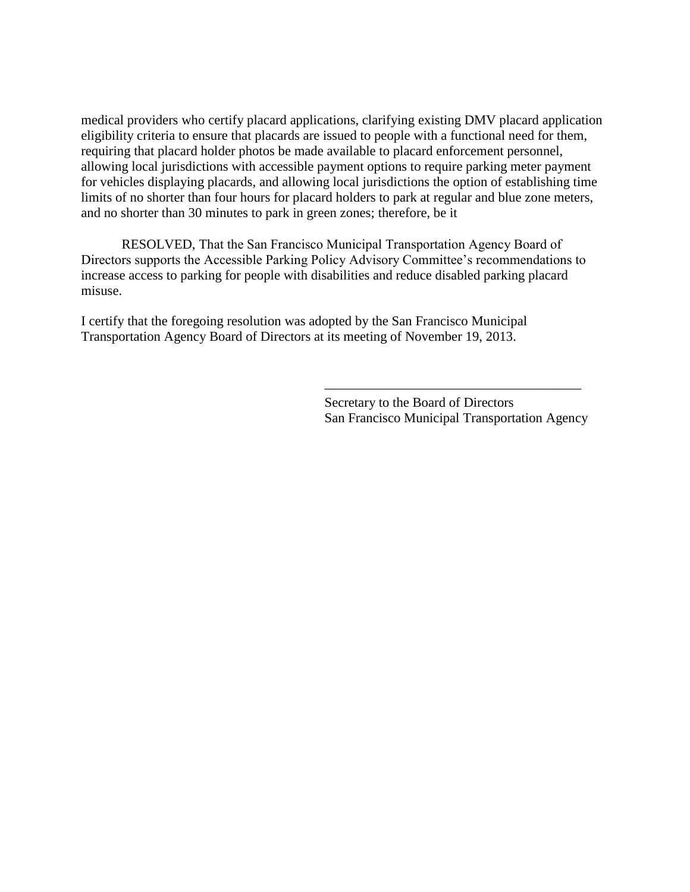medical providers who certify placard applications, clarifying existing DMV placard application eligibility criteria to ensure that placards are issued to people with a functional need for them, requiring that placard holder photos be made available to placard enforcement personnel, allowing local jurisdictions with accessible payment options to require parking meter payment for vehicles displaying placards, and allowing local jurisdictions the option of establishing time limits of no shorter than four hours for placard holders to park at regular and blue zone meters, and no shorter than 30 minutes to park in green zones; therefore, be it

RESOLVED, That the San Francisco Municipal Transportation Agency Board of Directors supports the Accessible Parking Policy Advisory Committee's recommendations to increase access to parking for people with disabilities and reduce disabled parking placard misuse.

I certify that the foregoing resolution was adopted by the San Francisco Municipal Transportation Agency Board of Directors at its meeting of November 19, 2013.

> Secretary to the Board of Directors San Francisco Municipal Transportation Agency

 $\overline{\phantom{a}}$  ,  $\overline{\phantom{a}}$  ,  $\overline{\phantom{a}}$  ,  $\overline{\phantom{a}}$  ,  $\overline{\phantom{a}}$  ,  $\overline{\phantom{a}}$  ,  $\overline{\phantom{a}}$  ,  $\overline{\phantom{a}}$  ,  $\overline{\phantom{a}}$  ,  $\overline{\phantom{a}}$  ,  $\overline{\phantom{a}}$  ,  $\overline{\phantom{a}}$  ,  $\overline{\phantom{a}}$  ,  $\overline{\phantom{a}}$  ,  $\overline{\phantom{a}}$  ,  $\overline{\phantom{a}}$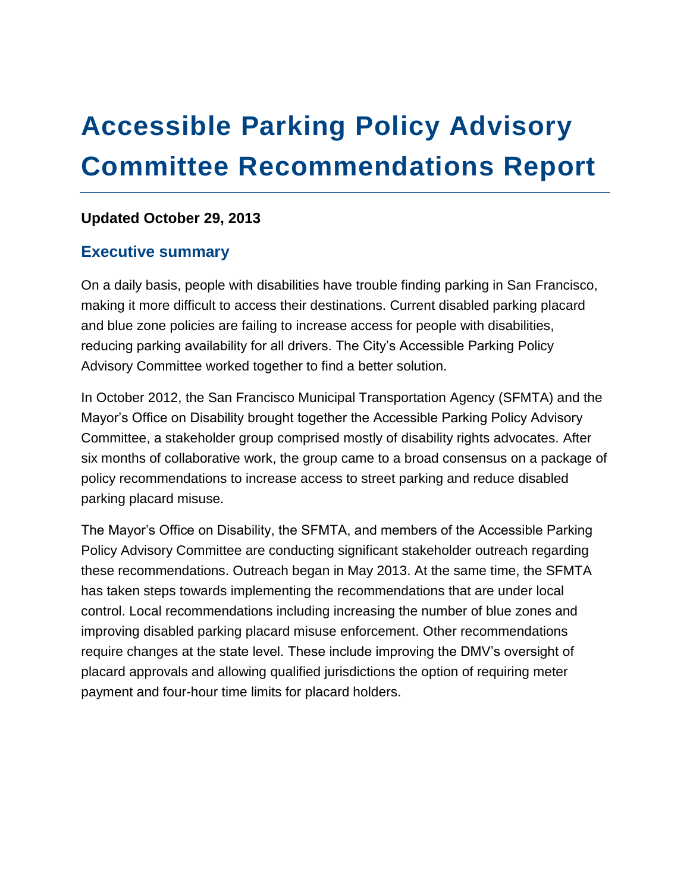# **Accessible Parking Policy Advisory Committee Recommendations Report**

#### **Updated October 29, 2013**

## **Executive summary**

On a daily basis, people with disabilities have trouble finding parking in San Francisco, making it more difficult to access their destinations. Current disabled parking placard and blue zone policies are failing to increase access for people with disabilities, reducing parking availability for all drivers. The City's Accessible Parking Policy Advisory Committee worked together to find a better solution.

In October 2012, the San Francisco Municipal Transportation Agency (SFMTA) and the Mayor's Office on Disability brought together the Accessible Parking Policy Advisory Committee, a stakeholder group comprised mostly of disability rights advocates. After six months of collaborative work, the group came to a broad consensus on a package of policy recommendations to increase access to street parking and reduce disabled parking placard misuse.

The Mayor's Office on Disability, the SFMTA, and members of the Accessible Parking Policy Advisory Committee are conducting significant stakeholder outreach regarding these recommendations. Outreach began in May 2013. At the same time, the SFMTA has taken steps towards implementing the recommendations that are under local control. Local recommendations including increasing the number of blue zones and improving disabled parking placard misuse enforcement. Other recommendations require changes at the state level. These include improving the DMV's oversight of placard approvals and allowing qualified jurisdictions the option of requiring meter payment and four-hour time limits for placard holders.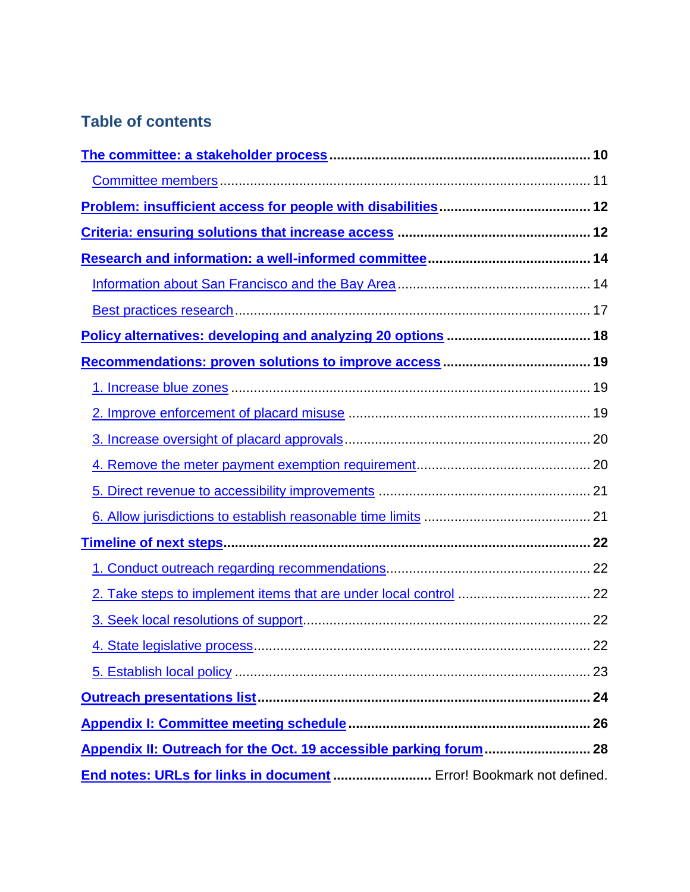## **Table of contents**

| End notes: URLs for links in document  Error! Bookmark not defined. |  |
|---------------------------------------------------------------------|--|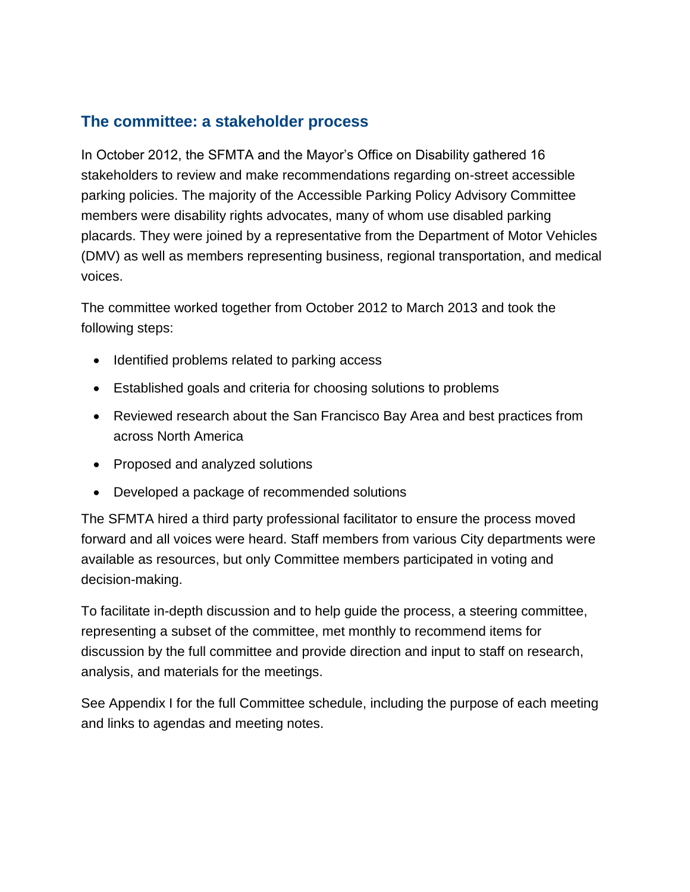## <span id="page-9-0"></span>**The committee: a stakeholder process**

In October 2012, the SFMTA and the Mayor's Office on Disability gathered 16 stakeholders to review and make recommendations regarding on-street accessible parking policies. The majority of the Accessible Parking Policy Advisory Committee members were disability rights advocates, many of whom use disabled parking placards. They were joined by a representative from the Department of Motor Vehicles (DMV) as well as members representing business, regional transportation, and medical voices.

The committee worked together from October 2012 to March 2013 and took the following steps:

- Identified problems related to parking access
- Established goals and criteria for choosing solutions to problems
- Reviewed research about the San Francisco Bay Area and best practices from across North America
- Proposed and analyzed solutions
- Developed a package of recommended solutions

The SFMTA hired a third party professional facilitator to ensure the process moved forward and all voices were heard. Staff members from various City departments were available as resources, but only Committee members participated in voting and decision-making.

To facilitate in-depth discussion and to help guide the process, a steering committee, representing a subset of the committee, met monthly to recommend items for discussion by the full committee and provide direction and input to staff on research, analysis, and materials for the meetings.

See Appendix I for the full Committee schedule, including the purpose of each meeting and links to agendas and meeting notes.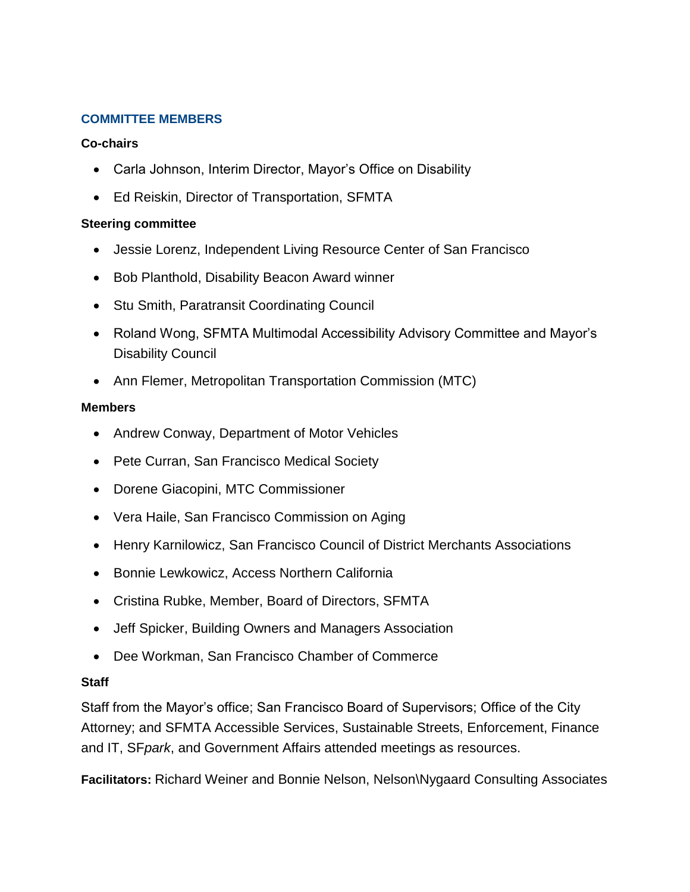#### <span id="page-10-0"></span>**COMMITTEE MEMBERS**

#### **Co-chairs**

- Carla Johnson, Interim Director, Mayor's Office on Disability
- Ed Reiskin, Director of Transportation, SFMTA

#### **Steering committee**

- Jessie Lorenz, Independent Living Resource Center of San Francisco
- Bob Planthold, Disability Beacon Award winner
- Stu Smith, Paratransit Coordinating Council
- Roland Wong, SFMTA Multimodal Accessibility Advisory Committee and Mayor's Disability Council
- Ann Flemer, Metropolitan Transportation Commission (MTC)

#### **Members**

- Andrew Conway, Department of Motor Vehicles
- Pete Curran, San Francisco Medical Society
- Dorene Giacopini, MTC Commissioner
- Vera Haile, San Francisco Commission on Aging
- Henry Karnilowicz, San Francisco Council of District Merchants Associations
- Bonnie Lewkowicz, Access Northern California
- Cristina Rubke, Member, Board of Directors, SFMTA
- Jeff Spicker, Building Owners and Managers Association
- Dee Workman, San Francisco Chamber of Commerce

#### **Staff**

Staff from the Mayor's office; San Francisco Board of Supervisors; Office of the City Attorney; and SFMTA Accessible Services, Sustainable Streets, Enforcement, Finance and IT, SF*park*, and Government Affairs attended meetings as resources.

**Facilitators:** Richard Weiner and Bonnie Nelson, Nelson\Nygaard Consulting Associates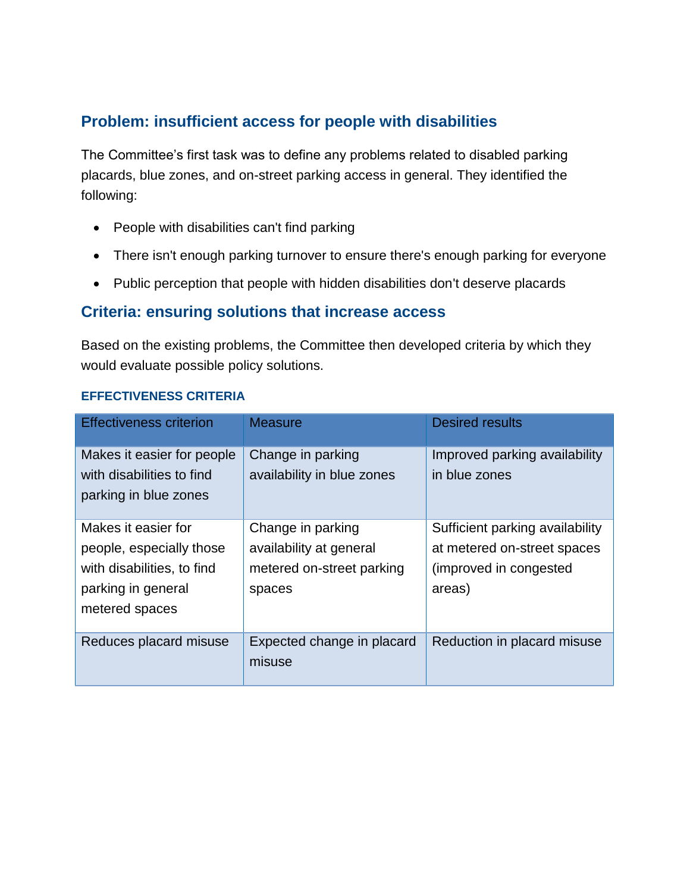## <span id="page-11-0"></span>**Problem: insufficient access for people with disabilities**

The Committee's first task was to define any problems related to disabled parking placards, blue zones, and on-street parking access in general. They identified the following:

- People with disabilities can't find parking
- There isn't enough parking turnover to ensure there's enough parking for everyone
- Public perception that people with hidden disabilities don't deserve placards

## <span id="page-11-1"></span>**Criteria: ensuring solutions that increase access**

Based on the existing problems, the Committee then developed criteria by which they would evaluate possible policy solutions.

#### **EFFECTIVENESS CRITERIA**

| <b>Effectiveness criterion</b>                                                                                        | <b>Measure</b>                                                                      | <b>Desired results</b>                                                                              |
|-----------------------------------------------------------------------------------------------------------------------|-------------------------------------------------------------------------------------|-----------------------------------------------------------------------------------------------------|
| Makes it easier for people<br>with disabilities to find<br>parking in blue zones                                      | Change in parking<br>availability in blue zones                                     | Improved parking availability<br>in blue zones                                                      |
| Makes it easier for<br>people, especially those<br>with disabilities, to find<br>parking in general<br>metered spaces | Change in parking<br>availability at general<br>metered on-street parking<br>spaces | Sufficient parking availability<br>at metered on-street spaces<br>(improved in congested)<br>areas) |
| Reduces placard misuse                                                                                                | Expected change in placard<br>misuse                                                | Reduction in placard misuse                                                                         |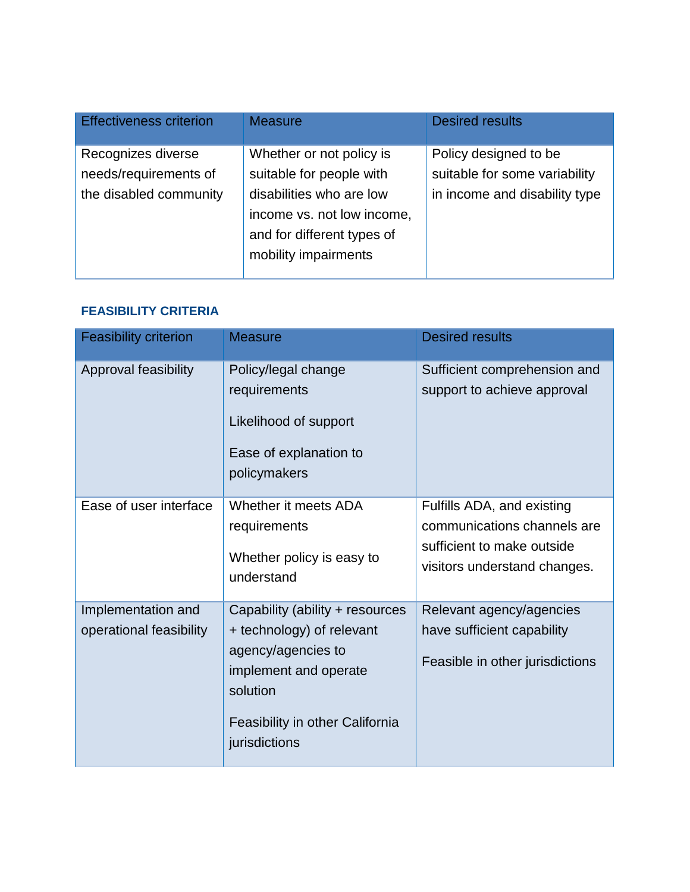| <b>Effectiveness criterion</b>              | <b>Measure</b>                                                                                               | <b>Desired results</b>                                 |
|---------------------------------------------|--------------------------------------------------------------------------------------------------------------|--------------------------------------------------------|
| Recognizes diverse<br>needs/requirements of | Whether or not policy is<br>suitable for people with                                                         | Policy designed to be<br>suitable for some variability |
| the disabled community                      | disabilities who are low<br>income vs. not low income,<br>and for different types of<br>mobility impairments | in income and disability type                          |

#### **FEASIBILITY CRITERIA**

| <b>Feasibility criterion</b>                  | <b>Measure</b>                                                                                                                                                              | <b>Desired results</b>                                                                                                  |
|-----------------------------------------------|-----------------------------------------------------------------------------------------------------------------------------------------------------------------------------|-------------------------------------------------------------------------------------------------------------------------|
| Approval feasibility                          | Policy/legal change<br>requirements<br>Likelihood of support<br>Ease of explanation to<br>policymakers                                                                      | Sufficient comprehension and<br>support to achieve approval                                                             |
| Ease of user interface                        | Whether it meets ADA<br>requirements<br>Whether policy is easy to<br>understand                                                                                             | Fulfills ADA, and existing<br>communications channels are<br>sufficient to make outside<br>visitors understand changes. |
| Implementation and<br>operational feasibility | Capability (ability + resources<br>+ technology) of relevant<br>agency/agencies to<br>implement and operate<br>solution<br>Feasibility in other California<br>jurisdictions | Relevant agency/agencies<br>have sufficient capability<br>Feasible in other jurisdictions                               |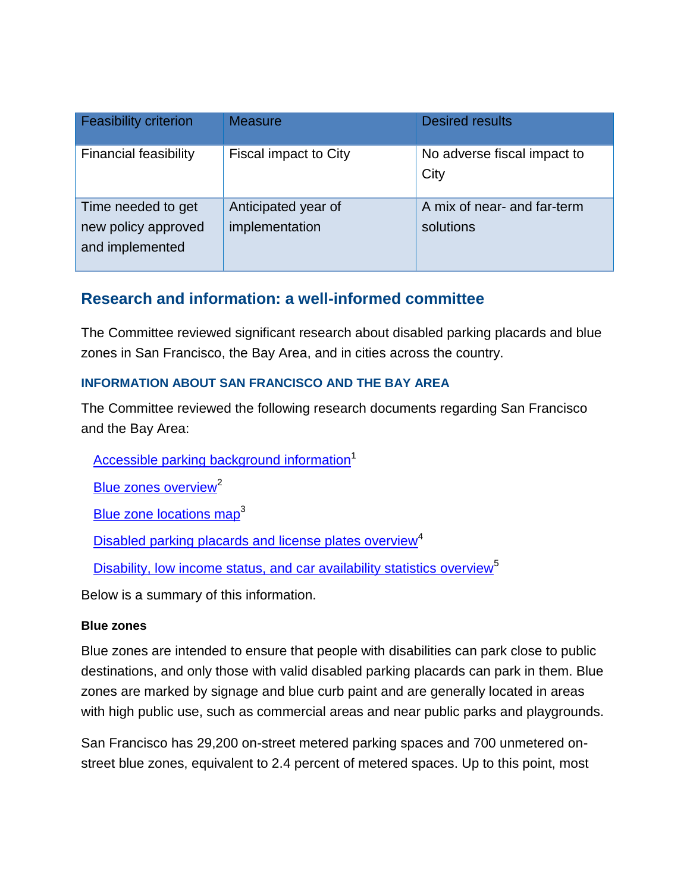| <b>Feasibility criterion</b>                                 | <b>Measure</b>                        | <b>Desired results</b>                   |
|--------------------------------------------------------------|---------------------------------------|------------------------------------------|
| <b>Financial feasibility</b>                                 | Fiscal impact to City                 | No adverse fiscal impact to<br>City      |
| Time needed to get<br>new policy approved<br>and implemented | Anticipated year of<br>implementation | A mix of near- and far-term<br>solutions |

## <span id="page-13-0"></span>**Research and information: a well-informed committee**

The Committee reviewed significant research about disabled parking placards and blue zones in San Francisco, the Bay Area, and in cities across the country.

#### <span id="page-13-1"></span>**INFORMATION ABOUT SAN FRANCISCO AND THE BAY AREA**

The Committee reviewed the following research documents regarding San Francisco and the Bay Area:

[Accessible parking background information](http://www.sfmta.com/sites/default/files/projects/accessible_parking_overview_web.pdf)<sup>1</sup>

[Blue zones overview](http://sfpark.org/wp-content/uploads/2012/11/20121107-Blue-zone-overview.pdf)<sup>2</sup>

[Blue zone locations map](http://sfpark.org/resources/disabled-parking-census-map/)<sup>3</sup>

[Disabled parking placards and license plates overview](http://sfpark.org/wp-content/uploads/2012/11/Disabled-placard-overview2.pdf)<sup>4</sup>

[Disability, low income status, and car availability statistics overview](http://sfpark.org/wp-content/uploads/2012/11/20121107-Disability-statistics-overview.pdf)<sup>5</sup>

Below is a summary of this information.

#### **Blue zones**

Blue zones are intended to ensure that people with disabilities can park close to public destinations, and only those with valid disabled parking placards can park in them. Blue zones are marked by signage and blue curb paint and are generally located in areas with high public use, such as commercial areas and near public parks and playgrounds.

San Francisco has 29,200 on-street metered parking spaces and 700 unmetered onstreet blue zones, equivalent to 2.4 percent of metered spaces. Up to this point, most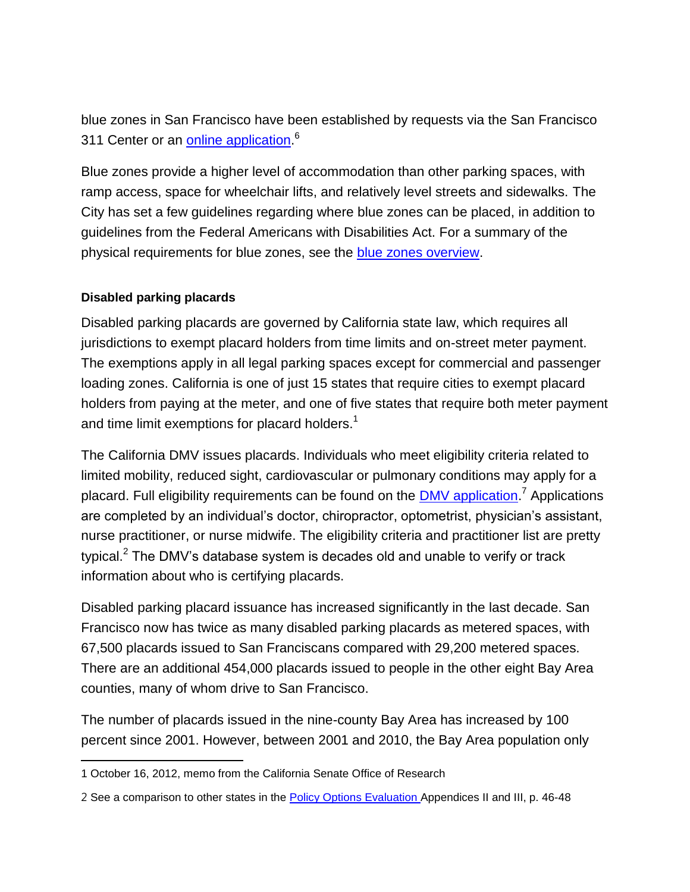blue zones in San Francisco have been established by requests via the San Francisco 311 Center or an **online application.**<sup>6</sup>

Blue zones provide a higher level of accommodation than other parking spaces, with ramp access, space for wheelchair lifts, and relatively level streets and sidewalks. The City has set a few guidelines regarding where blue zones can be placed, in addition to guidelines from the Federal Americans with Disabilities Act. For a summary of the physical requirements for blue zones, see the [blue zones overview.](http://sfpark.org/wp-content/uploads/2012/11/20121107-Blue-zone-overview.pdf)

#### **Disabled parking placards**

Disabled parking placards are governed by California state law, which requires all jurisdictions to exempt placard holders from time limits and on-street meter payment. The exemptions apply in all legal parking spaces except for commercial and passenger loading zones. California is one of just 15 states that require cities to exempt placard holders from paying at the meter, and one of five states that require both meter payment and time limit exemptions for placard holders.<sup>1</sup>

The California DMV issues placards. Individuals who meet eligibility criteria related to limited mobility, reduced sight, cardiovascular or pulmonary conditions may apply for a placard. Full eligibility requirements can be found on the **DMV application.<sup>7</sup> Applications** are completed by an individual's doctor, chiropractor, optometrist, physician's assistant, nurse practitioner, or nurse midwife. The eligibility criteria and practitioner list are pretty typical.<sup>2</sup> The DMV's database system is decades old and unable to verify or track information about who is certifying placards.

Disabled parking placard issuance has increased significantly in the last decade. San Francisco now has twice as many disabled parking placards as metered spaces, with 67,500 placards issued to San Franciscans compared with 29,200 metered spaces. There are an additional 454,000 placards issued to people in the other eight Bay Area counties, many of whom drive to San Francisco.

The number of placards issued in the nine-county Bay Area has increased by 100 percent since 2001. However, between 2001 and 2010, the Bay Area population only

 $\overline{a}$ 1 October 16, 2012, memo from the California Senate Office of Research

<sup>2</sup> See a comparison to other states in the [Policy Options Evaluation](http://www.sfmta.com/sites/default/files/projects/Research%20and%20analysis-%20accessible%20parking%20policy%20options%20evaluation.pdf) Appendices II and III, p. 46-48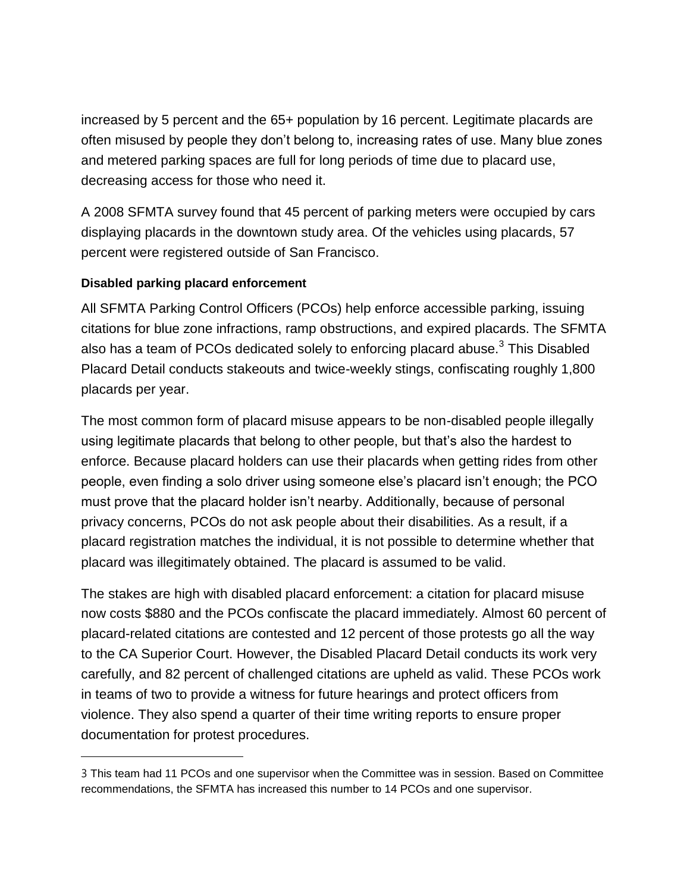increased by 5 percent and the 65+ population by 16 percent. Legitimate placards are often misused by people they don't belong to, increasing rates of use. Many blue zones and metered parking spaces are full for long periods of time due to placard use, decreasing access for those who need it.

A 2008 SFMTA survey found that 45 percent of parking meters were occupied by cars displaying placards in the downtown study area. Of the vehicles using placards, 57 percent were registered outside of San Francisco.

#### **Disabled parking placard enforcement**

 $\overline{a}$ 

All SFMTA Parking Control Officers (PCOs) help enforce accessible parking, issuing citations for blue zone infractions, ramp obstructions, and expired placards. The SFMTA also has a team of PCOs dedicated solely to enforcing placard abuse. $^3$  This Disabled Placard Detail conducts stakeouts and twice-weekly stings, confiscating roughly 1,800 placards per year.

The most common form of placard misuse appears to be non-disabled people illegally using legitimate placards that belong to other people, but that's also the hardest to enforce. Because placard holders can use their placards when getting rides from other people, even finding a solo driver using someone else's placard isn't enough; the PCO must prove that the placard holder isn't nearby. Additionally, because of personal privacy concerns, PCOs do not ask people about their disabilities. As a result, if a placard registration matches the individual, it is not possible to determine whether that placard was illegitimately obtained. The placard is assumed to be valid.

The stakes are high with disabled placard enforcement: a citation for placard misuse now costs \$880 and the PCOs confiscate the placard immediately. Almost 60 percent of placard-related citations are contested and 12 percent of those protests go all the way to the CA Superior Court. However, the Disabled Placard Detail conducts its work very carefully, and 82 percent of challenged citations are upheld as valid. These PCOs work in teams of two to provide a witness for future hearings and protect officers from violence. They also spend a quarter of their time writing reports to ensure proper documentation for protest procedures.

<sup>3</sup> This team had 11 PCOs and one supervisor when the Committee was in session. Based on Committee recommendations, the SFMTA has increased this number to 14 PCOs and one supervisor.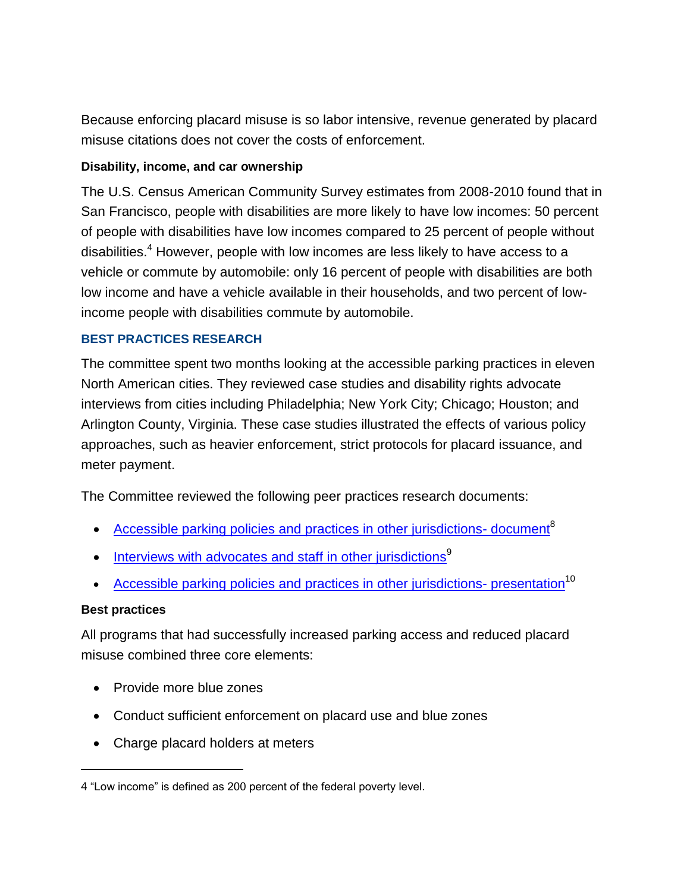Because enforcing placard misuse is so labor intensive, revenue generated by placard misuse citations does not cover the costs of enforcement.

#### **Disability, income, and car ownership**

The U.S. Census American Community Survey estimates from 2008-2010 found that in San Francisco, people with disabilities are more likely to have low incomes: 50 percent of people with disabilities have low incomes compared to 25 percent of people without disabilities.<sup>4</sup> However, people with low incomes are less likely to have access to a vehicle or commute by automobile: only 16 percent of people with disabilities are both low income and have a vehicle available in their households, and two percent of lowincome people with disabilities commute by automobile.

#### <span id="page-16-0"></span>**BEST PRACTICES RESEARCH**

The committee spent two months looking at the accessible parking practices in eleven North American cities. They reviewed case studies and disability rights advocate interviews from cities including Philadelphia; New York City; Chicago; Houston; and Arlington County, Virginia. These case studies illustrated the effects of various policy approaches, such as heavier enforcement, strict protocols for placard issuance, and meter payment.

The Committee reviewed the following peer practices research documents:

- [Accessible parking policies and practices in other jurisdictions-](http://www.sfmta.com/sites/default/files/projects/Research%20and%20analysis-%20accessible%20parking%20practices%20peer%20review.pdf) document<sup>8</sup>
- $\bullet$  [Interviews with advocates and staff in other jurisdictions](http://www.sfmta.com/sites/default/files/projects/Research%20and%20analysis%20-%20peer%20interviews.pdf)<sup>9</sup>
- [Accessible parking policies and practices in other jurisdictions-](http://sfpark.org/resources/accessible-parking-policies-and-practices-in-other-jurisdictions-presentation/) presentation<sup>10</sup>

#### **Best practices**

 $\overline{a}$ 

All programs that had successfully increased parking access and reduced placard misuse combined three core elements:

- Provide more blue zones
- Conduct sufficient enforcement on placard use and blue zones
- Charge placard holders at meters

<sup>4</sup> "Low income" is defined as 200 percent of the federal poverty level.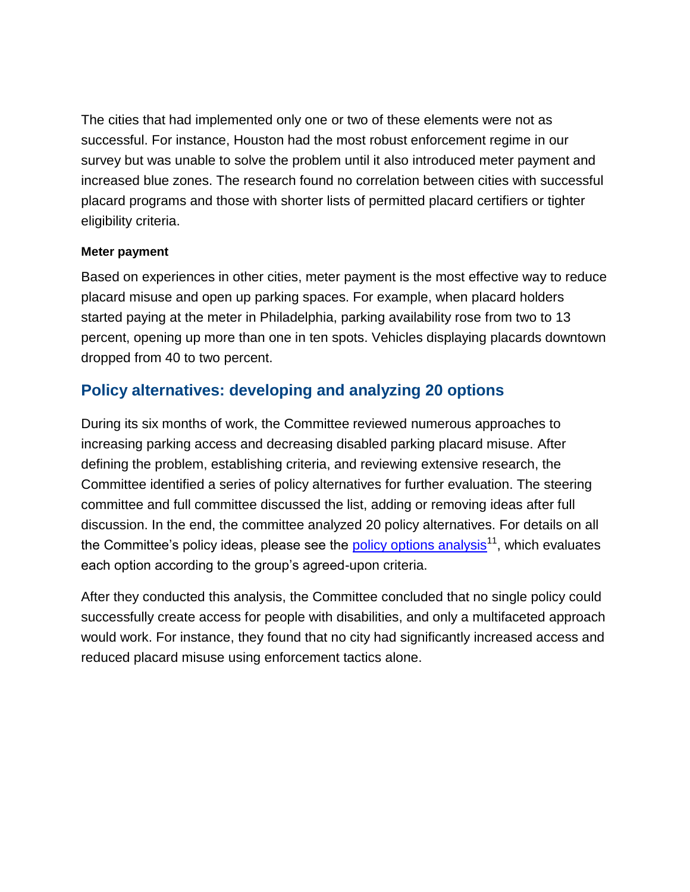The cities that had implemented only one or two of these elements were not as successful. For instance, Houston had the most robust enforcement regime in our survey but was unable to solve the problem until it also introduced meter payment and increased blue zones. The research found no correlation between cities with successful placard programs and those with shorter lists of permitted placard certifiers or tighter eligibility criteria.

#### **Meter payment**

Based on experiences in other cities, meter payment is the most effective way to reduce placard misuse and open up parking spaces. For example, when placard holders started paying at the meter in Philadelphia, parking availability rose from two to 13 percent, opening up more than one in ten spots. Vehicles displaying placards downtown dropped from 40 to two percent.

## <span id="page-17-0"></span>**Policy alternatives: developing and analyzing 20 options**

During its six months of work, the Committee reviewed numerous approaches to increasing parking access and decreasing disabled parking placard misuse. After defining the problem, establishing criteria, and reviewing extensive research, the Committee identified a series of policy alternatives for further evaluation. The steering committee and full committee discussed the list, adding or removing ideas after full discussion. In the end, the committee analyzed 20 policy alternatives. For details on all the Committee's policy ideas, please see the  $\frac{\text{policy options analysis}}{11}$ , which evaluates each option according to the group's agreed-upon criteria.

After they conducted this analysis, the Committee concluded that no single policy could successfully create access for people with disabilities, and only a multifaceted approach would work. For instance, they found that no city had significantly increased access and reduced placard misuse using enforcement tactics alone.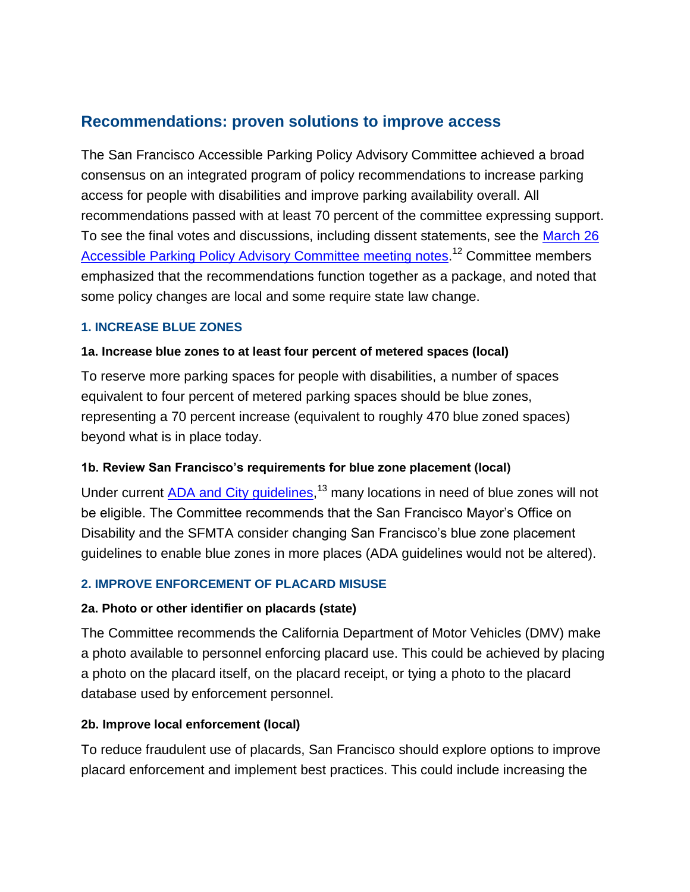## <span id="page-18-0"></span>**Recommendations: proven solutions to improve access**

The San Francisco Accessible Parking Policy Advisory Committee achieved a broad consensus on an integrated program of policy recommendations to increase parking access for people with disabilities and improve parking availability overall. All recommendations passed with at least 70 percent of the committee expressing support. To see the final votes and discussions, including dissent statements, see the [March 26](http://sfpark.org/wp-content/uploads/2013/05/20130515-March-26-full-committee-mtg-notes-Accessible-Parking-Policy-Advisory-Committee1.pdf)  [Accessible Parking Policy Advisory Committee meeting notes.](http://sfpark.org/wp-content/uploads/2013/05/20130515-March-26-full-committee-mtg-notes-Accessible-Parking-Policy-Advisory-Committee1.pdf)<sup>12</sup> Committee members emphasized that the recommendations function together as a package, and noted that some policy changes are local and some require state law change.

#### <span id="page-18-1"></span>**1. INCREASE BLUE ZONES**

#### **1a. Increase blue zones to at least four percent of metered spaces (local)**

To reserve more parking spaces for people with disabilities, a number of spaces equivalent to four percent of metered parking spaces should be blue zones, representing a 70 percent increase (equivalent to roughly 470 blue zoned spaces) beyond what is in place today.

#### **1b. Review San Francisco's requirements for blue zone placement (local)**

Under current **ADA and City guidelines**,<sup>13</sup> many locations in need of blue zones will not be eligible. The Committee recommends that the San Francisco Mayor's Office on Disability and the SFMTA consider changing San Francisco's blue zone placement guidelines to enable blue zones in more places (ADA guidelines would not be altered).

#### <span id="page-18-2"></span>**2. IMPROVE ENFORCEMENT OF PLACARD MISUSE**

#### **2a. Photo or other identifier on placards (state)**

The Committee recommends the California Department of Motor Vehicles (DMV) make a photo available to personnel enforcing placard use. This could be achieved by placing a photo on the placard itself, on the placard receipt, or tying a photo to the placard database used by enforcement personnel.

#### **2b. Improve local enforcement (local)**

To reduce fraudulent use of placards, San Francisco should explore options to improve placard enforcement and implement best practices. This could include increasing the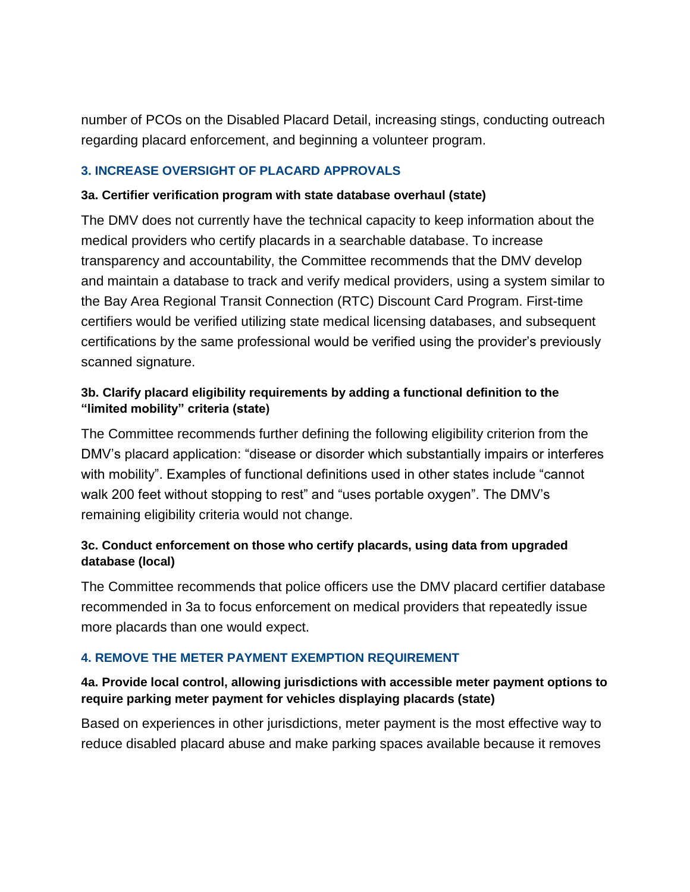number of PCOs on the Disabled Placard Detail, increasing stings, conducting outreach regarding placard enforcement, and beginning a volunteer program.

#### <span id="page-19-0"></span>**3. INCREASE OVERSIGHT OF PLACARD APPROVALS**

#### **3a. Certifier verification program with state database overhaul (state)**

The DMV does not currently have the technical capacity to keep information about the medical providers who certify placards in a searchable database. To increase transparency and accountability, the Committee recommends that the DMV develop and maintain a database to track and verify medical providers, using a system similar to the Bay Area Regional Transit Connection (RTC) Discount Card Program. First-time certifiers would be verified utilizing state medical licensing databases, and subsequent certifications by the same professional would be verified using the provider's previously scanned signature.

#### **3b. Clarify placard eligibility requirements by adding a functional definition to the "limited mobility" criteria (state)**

The Committee recommends further defining the following eligibility criterion from the DMV's placard application: "disease or disorder which substantially impairs or interferes with mobility". Examples of functional definitions used in other states include "cannot walk 200 feet without stopping to rest" and "uses portable oxygen". The DMV's remaining eligibility criteria would not change.

#### **3c. Conduct enforcement on those who certify placards, using data from upgraded database (local)**

The Committee recommends that police officers use the DMV placard certifier database recommended in 3a to focus enforcement on medical providers that repeatedly issue more placards than one would expect.

#### <span id="page-19-1"></span>**4. REMOVE THE METER PAYMENT EXEMPTION REQUIREMENT**

#### **4a. Provide local control, allowing jurisdictions with accessible meter payment options to require parking meter payment for vehicles displaying placards (state)**

Based on experiences in other jurisdictions, meter payment is the most effective way to reduce disabled placard abuse and make parking spaces available because it removes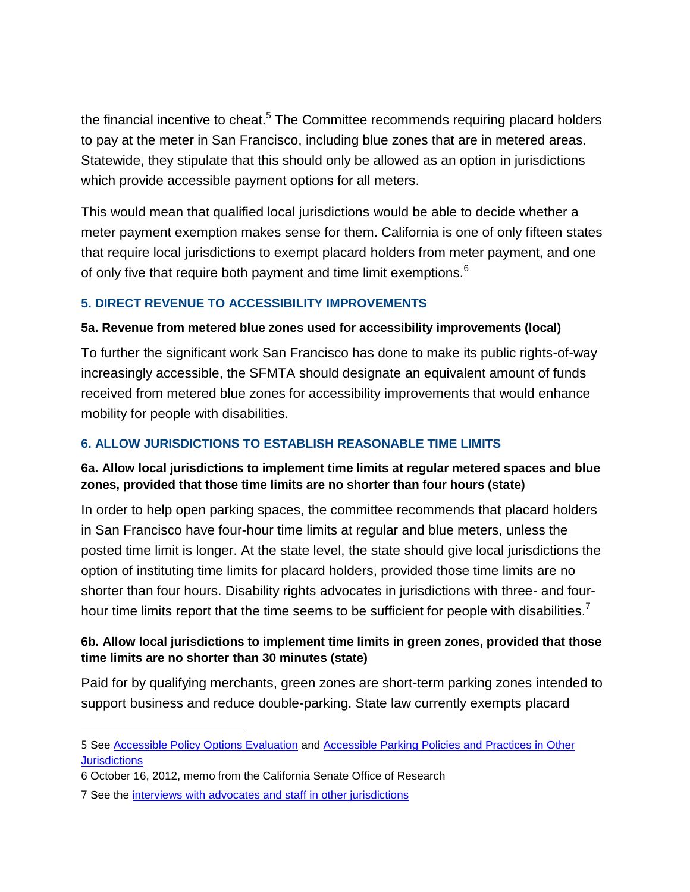the financial incentive to cheat.<sup>5</sup> The Committee recommends requiring placard holders to pay at the meter in San Francisco, including blue zones that are in metered areas. Statewide, they stipulate that this should only be allowed as an option in jurisdictions which provide accessible payment options for all meters.

This would mean that qualified local jurisdictions would be able to decide whether a meter payment exemption makes sense for them. California is one of only fifteen states that require local jurisdictions to exempt placard holders from meter payment, and one of only five that require both payment and time limit exemptions.<sup>6</sup>

#### <span id="page-20-0"></span>**5. DIRECT REVENUE TO ACCESSIBILITY IMPROVEMENTS**

#### **5a. Revenue from metered blue zones used for accessibility improvements (local)**

To further the significant work San Francisco has done to make its public rights-of-way increasingly accessible, the SFMTA should designate an equivalent amount of funds received from metered blue zones for accessibility improvements that would enhance mobility for people with disabilities.

#### <span id="page-20-1"></span>**6. ALLOW JURISDICTIONS TO ESTABLISH REASONABLE TIME LIMITS**

#### **6a. Allow local jurisdictions to implement time limits at regular metered spaces and blue zones, provided that those time limits are no shorter than four hours (state)**

In order to help open parking spaces, the committee recommends that placard holders in San Francisco have four-hour time limits at regular and blue meters, unless the posted time limit is longer. At the state level, the state should give local jurisdictions the option of instituting time limits for placard holders, provided those time limits are no shorter than four hours. Disability rights advocates in jurisdictions with three- and fourhour time limits report that the time seems to be sufficient for people with disabilities.<sup>7</sup>

#### **6b. Allow local jurisdictions to implement time limits in green zones, provided that those time limits are no shorter than 30 minutes (state)**

Paid for by qualifying merchants, green zones are short-term parking zones intended to support business and reduce double-parking. State law currently exempts placard

 $\overline{a}$ 

<sup>5</sup> See [Accessible Policy Options Evaluation](file://snap1svn02/shares/SFPark/Accessible%20parking/Memos,%20SFMTA%20Board,%20local%20govt/Board%20of%20Supervisors/BOS%20resolution%20fall%202013/Supporting%20materials/(http:/sfpark.org/wp-content/uploads/2013/02/Accessible-parking-policy-options-evaluation-II1.pdf) and [Accessible Parking Policies and Practices in Other](http://sfpark.org/wp-content/uploads/2013/01/Accessible-parking-policies-and-practices-in-other-jurisdictions1.pdf)  **[Jurisdictions](http://sfpark.org/wp-content/uploads/2013/01/Accessible-parking-policies-and-practices-in-other-jurisdictions1.pdf)** 

<sup>6</sup> October 16, 2012, memo from the California Senate Office of Research

<sup>7</sup> See the [interviews with advocates and staff in other jurisdictions](http://www.sfmta.com/sites/default/files/projects/Research%20and%20analysis%20-%20peer%20interviews.pdf)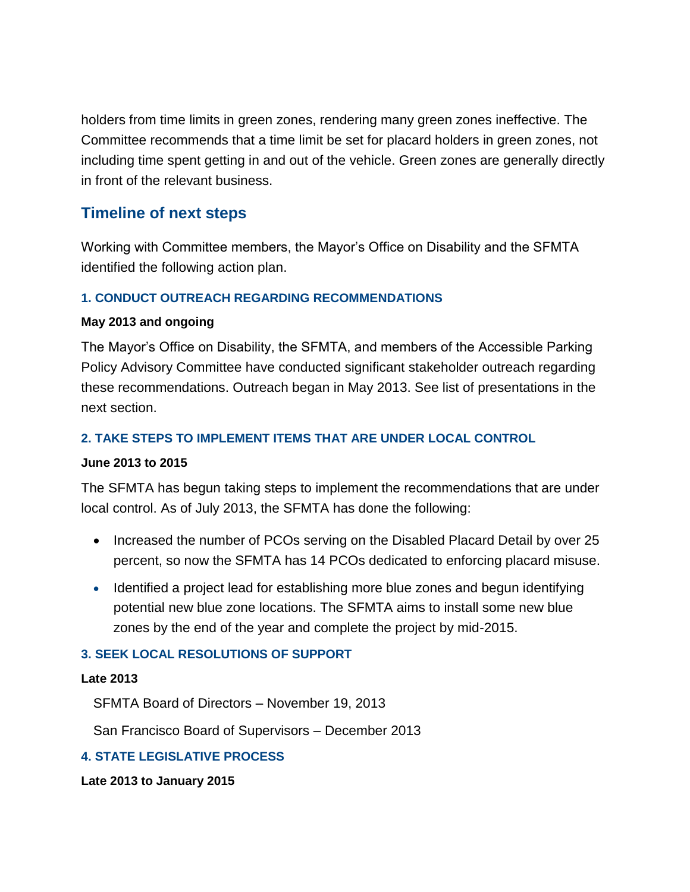holders from time limits in green zones, rendering many green zones ineffective. The Committee recommends that a time limit be set for placard holders in green zones, not including time spent getting in and out of the vehicle. Green zones are generally directly in front of the relevant business.

## <span id="page-21-0"></span>**Timeline of next steps**

Working with Committee members, the Mayor's Office on Disability and the SFMTA identified the following action plan.

#### <span id="page-21-1"></span>**1. CONDUCT OUTREACH REGARDING RECOMMENDATIONS**

#### **May 2013 and ongoing**

The Mayor's Office on Disability, the SFMTA, and members of the Accessible Parking Policy Advisory Committee have conducted significant stakeholder outreach regarding these recommendations. Outreach began in May 2013. See list of presentations in the next section.

#### <span id="page-21-2"></span>**2. TAKE STEPS TO IMPLEMENT ITEMS THAT ARE UNDER LOCAL CONTROL**

#### **June 2013 to 2015**

The SFMTA has begun taking steps to implement the recommendations that are under local control. As of July 2013, the SFMTA has done the following:

- Increased the number of PCOs serving on the Disabled Placard Detail by over 25 percent, so now the SFMTA has 14 PCOs dedicated to enforcing placard misuse.
- Identified a project lead for establishing more blue zones and begun identifying potential new blue zone locations. The SFMTA aims to install some new blue zones by the end of the year and complete the project by mid-2015.

#### <span id="page-21-3"></span>**3. SEEK LOCAL RESOLUTIONS OF SUPPORT**

#### **Late 2013**

SFMTA Board of Directors – November 19, 2013

San Francisco Board of Supervisors – December 2013

#### <span id="page-21-4"></span>**4. STATE LEGISLATIVE PROCESS**

**Late 2013 to January 2015**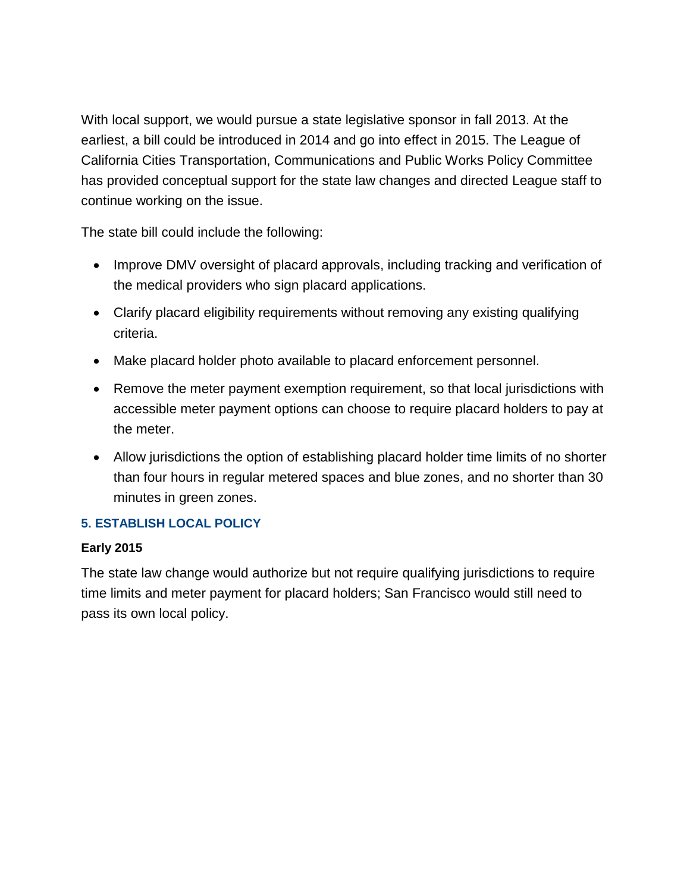With local support, we would pursue a state legislative sponsor in fall 2013. At the earliest, a bill could be introduced in 2014 and go into effect in 2015. The League of California Cities Transportation, Communications and Public Works Policy Committee has provided conceptual support for the state law changes and directed League staff to continue working on the issue.

The state bill could include the following:

- Improve DMV oversight of placard approvals, including tracking and verification of the medical providers who sign placard applications.
- Clarify placard eligibility requirements without removing any existing qualifying criteria.
- Make placard holder photo available to placard enforcement personnel.
- Remove the meter payment exemption requirement, so that local jurisdictions with accessible meter payment options can choose to require placard holders to pay at the meter.
- Allow jurisdictions the option of establishing placard holder time limits of no shorter than four hours in regular metered spaces and blue zones, and no shorter than 30 minutes in green zones.

## <span id="page-22-0"></span>**5. ESTABLISH LOCAL POLICY**

#### **Early 2015**

<span id="page-22-1"></span>The state law change would authorize but not require qualifying jurisdictions to require time limits and meter payment for placard holders; San Francisco would still need to pass its own local policy.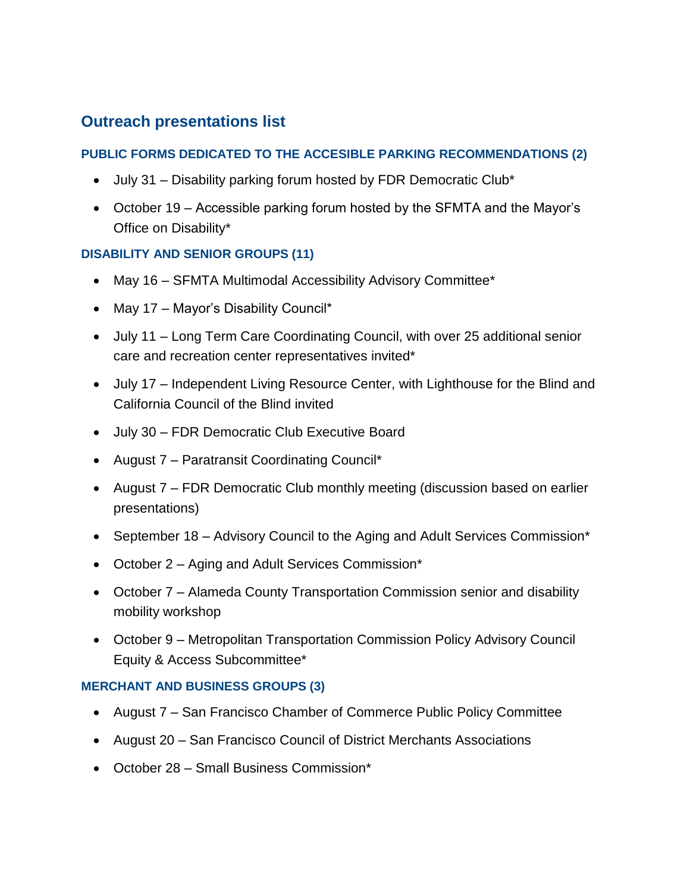## **Outreach presentations list**

#### **PUBLIC FORMS DEDICATED TO THE ACCESIBLE PARKING RECOMMENDATIONS (2)**

- July 31 Disability parking forum hosted by FDR Democratic Club\*
- October 19 Accessible parking forum hosted by the SFMTA and the Mayor's Office on Disability\*

#### **DISABILITY AND SENIOR GROUPS (11)**

- May 16 SFMTA Multimodal Accessibility Advisory Committee\*
- May 17 Mayor's Disability Council\*
- July 11 Long Term Care Coordinating Council, with over 25 additional senior care and recreation center representatives invited\*
- July 17 Independent Living Resource Center, with Lighthouse for the Blind and California Council of the Blind invited
- July 30 FDR Democratic Club Executive Board
- August 7 Paratransit Coordinating Council\*
- August 7 FDR Democratic Club monthly meeting (discussion based on earlier presentations)
- September 18 Advisory Council to the Aging and Adult Services Commission\*
- October 2 Aging and Adult Services Commission\*
- October 7 Alameda County Transportation Commission senior and disability mobility workshop
- October 9 Metropolitan Transportation Commission Policy Advisory Council Equity & Access Subcommittee\*

#### **MERCHANT AND BUSINESS GROUPS (3)**

- August 7 San Francisco Chamber of Commerce Public Policy Committee
- August 20 San Francisco Council of District Merchants Associations
- October 28 Small Business Commission\*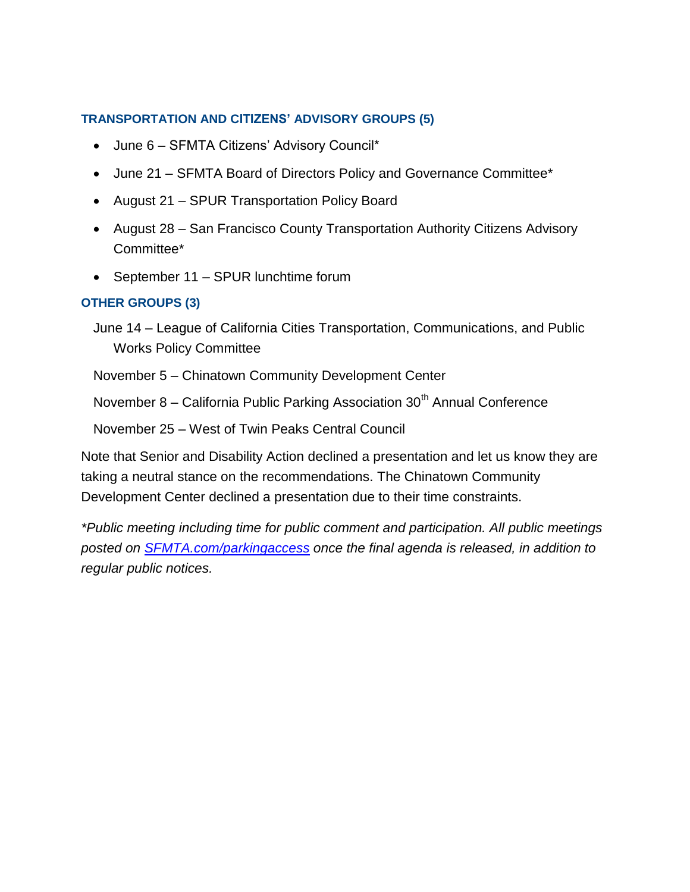#### **TRANSPORTATION AND CITIZENS' ADVISORY GROUPS (5)**

- June 6 SFMTA Citizens' Advisory Council\*
- June 21 SFMTA Board of Directors Policy and Governance Committee\*
- August 21 SPUR Transportation Policy Board
- August 28 San Francisco County Transportation Authority Citizens Advisory Committee\*
- September 11 SPUR lunchtime forum

#### **OTHER GROUPS (3)**

June 14 – League of California Cities Transportation, Communications, and Public Works Policy Committee

November 5 – Chinatown Community Development Center

November 8 – California Public Parking Association 30<sup>th</sup> Annual Conference

November 25 – West of Twin Peaks Central Council

Note that Senior and Disability Action declined a presentation and let us know they are taking a neutral stance on the recommendations. The Chinatown Community Development Center declined a presentation due to their time constraints.

*\*Public meeting including time for public comment and participation. All public meetings posted on [SFMTA.com/parkingaccess](http://www.sfmta.com/parkingaccess) once the final agenda is released, in addition to regular public notices.*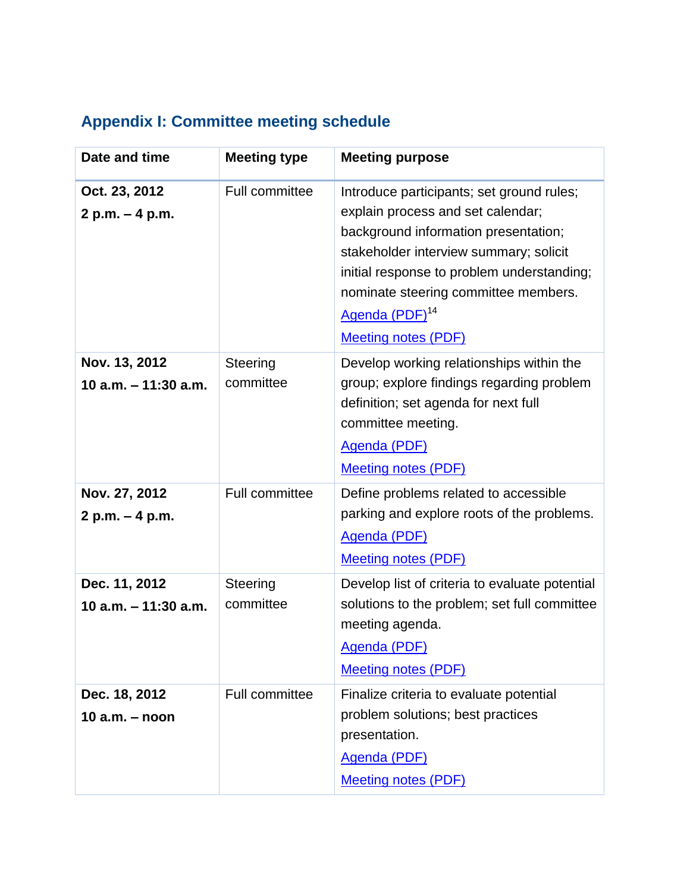# <span id="page-25-0"></span>**Appendix I: Committee meeting schedule**

| Date and time                         | <b>Meeting type</b>   | <b>Meeting purpose</b>                                                                                                                                                                                                                                                                                             |
|---------------------------------------|-----------------------|--------------------------------------------------------------------------------------------------------------------------------------------------------------------------------------------------------------------------------------------------------------------------------------------------------------------|
| Oct. 23, 2012<br>2 p.m. - 4 p.m.      | Full committee        | Introduce participants; set ground rules;<br>explain process and set calendar;<br>background information presentation;<br>stakeholder interview summary; solicit<br>initial response to problem understanding;<br>nominate steering committee members.<br>Agenda (PDF) <sup>14</sup><br><b>Meeting notes (PDF)</b> |
| Nov. 13, 2012<br>10 a.m. - 11:30 a.m. | Steering<br>committee | Develop working relationships within the<br>group; explore findings regarding problem<br>definition; set agenda for next full<br>committee meeting.<br>Agenda (PDF)<br><b>Meeting notes (PDF)</b>                                                                                                                  |
| Nov. 27, 2012<br>2 p.m. - 4 p.m.      | <b>Full committee</b> | Define problems related to accessible<br>parking and explore roots of the problems.<br>Agenda (PDF)<br><b>Meeting notes (PDF)</b>                                                                                                                                                                                  |
| Dec. 11, 2012<br>10 a.m. - 11:30 a.m. | Steering<br>committee | Develop list of criteria to evaluate potential<br>solutions to the problem; set full committee<br>meeting agenda.<br>Agenda (PDF)<br><b>Meeting notes (PDF)</b>                                                                                                                                                    |
| Dec. 18, 2012<br>10 $a.m. - noon$     | <b>Full committee</b> | Finalize criteria to evaluate potential<br>problem solutions; best practices<br>presentation.<br><b>Agenda (PDF)</b><br><b>Meeting notes (PDF)</b>                                                                                                                                                                 |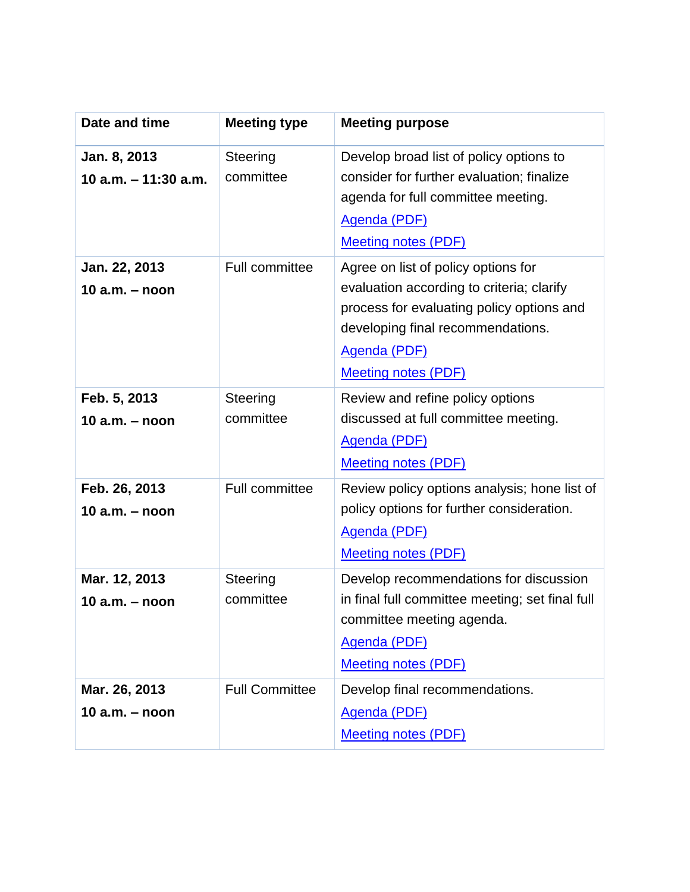| Date and time                          | <b>Meeting type</b>   | <b>Meeting purpose</b>                                                                                                                                                                                                  |
|----------------------------------------|-----------------------|-------------------------------------------------------------------------------------------------------------------------------------------------------------------------------------------------------------------------|
| Jan. 8, 2013<br>10 $a.m. - 11:30 a.m.$ | Steering<br>committee | Develop broad list of policy options to<br>consider for further evaluation; finalize<br>agenda for full committee meeting.<br><b>Agenda (PDF)</b><br><b>Meeting notes (PDF)</b>                                         |
| Jan. 22, 2013<br>10 $a.m. - noon$      | Full committee        | Agree on list of policy options for<br>evaluation according to criteria; clarify<br>process for evaluating policy options and<br>developing final recommendations.<br><b>Agenda (PDF)</b><br><b>Meeting notes (PDF)</b> |
| Feb. 5, 2013<br>10 $a.m. - noon$       | Steering<br>committee | Review and refine policy options<br>discussed at full committee meeting.<br><b>Agenda (PDF)</b><br><b>Meeting notes (PDF)</b>                                                                                           |
| Feb. 26, 2013<br>$10$ a.m. $-$ noon    | <b>Full committee</b> | Review policy options analysis; hone list of<br>policy options for further consideration.<br><b>Agenda (PDF)</b><br><b>Meeting notes (PDF)</b>                                                                          |
| Mar. 12, 2013<br>10 $a.m. - noon$      | Steering<br>committee | Develop recommendations for discussion<br>in final full committee meeting; set final full<br>committee meeting agenda.<br>Agenda (PDF)<br><b>Meeting notes (PDF)</b>                                                    |
| Mar. 26, 2013<br>10 $a.m. - noon$      | <b>Full Committee</b> | Develop final recommendations.<br><b>Agenda (PDF)</b><br><b>Meeting notes (PDF)</b>                                                                                                                                     |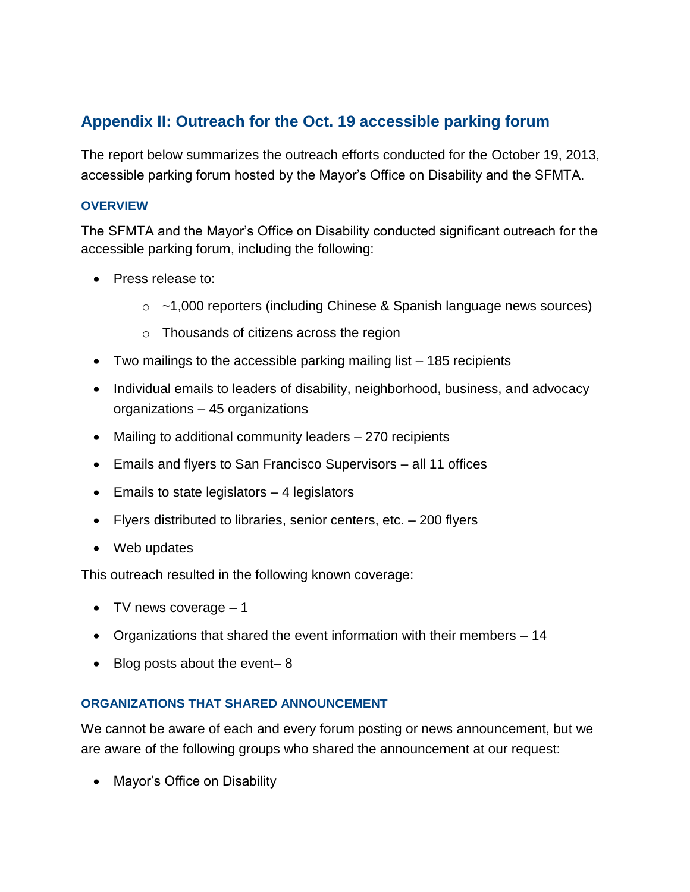## <span id="page-27-0"></span>**Appendix II: Outreach for the Oct. 19 accessible parking forum**

The report below summarizes the outreach efforts conducted for the October 19, 2013, accessible parking forum hosted by the Mayor's Office on Disability and the SFMTA.

#### **OVERVIEW**

The SFMTA and the Mayor's Office on Disability conducted significant outreach for the accessible parking forum, including the following:

- Press release to:
	- $\circ$  ~1,000 reporters (including Chinese & Spanish language news sources)
	- o Thousands of citizens across the region
- Two mailings to the accessible parking mailing list 185 recipients
- Individual emails to leaders of disability, neighborhood, business, and advocacy organizations – 45 organizations
- Mailing to additional community leaders 270 recipients
- Emails and flyers to San Francisco Supervisors all 11 offices
- $\bullet$  Emails to state legislators  $-4$  legislators
- $\bullet$  Flyers distributed to libraries, senior centers, etc.  $-200$  flyers
- Web updates

This outreach resulted in the following known coverage:

- $\bullet$  TV news coverage  $-1$
- Organizations that shared the event information with their members 14
- $\bullet$  Blog posts about the event-8

#### **ORGANIZATIONS THAT SHARED ANNOUNCEMENT**

We cannot be aware of each and every forum posting or news announcement, but we are aware of the following groups who shared the announcement at our request:

• Mayor's Office on Disability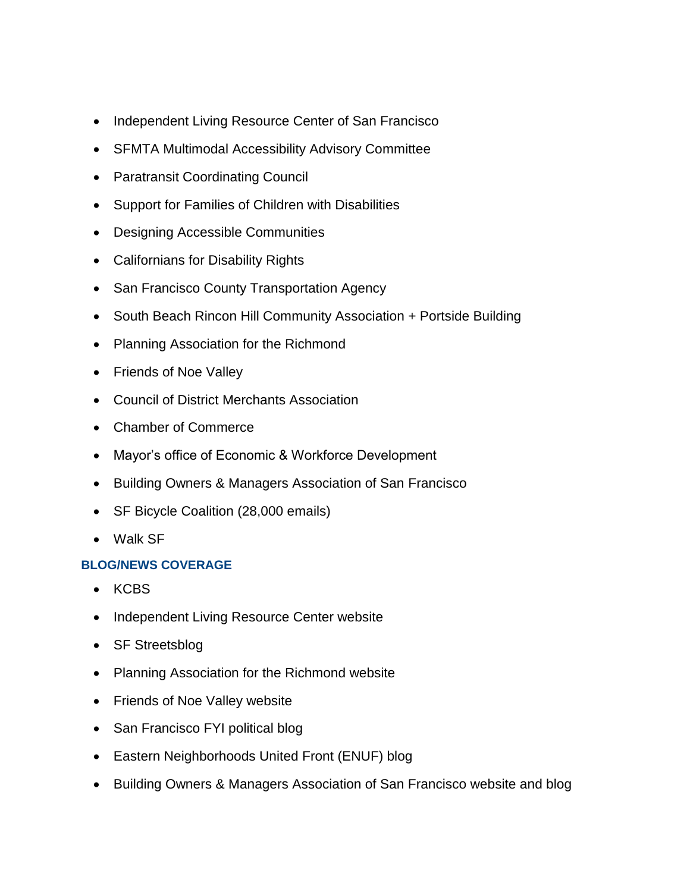- Independent Living Resource Center of San Francisco
- SFMTA Multimodal Accessibility Advisory Committee
- Paratransit Coordinating Council
- Support for Families of Children with Disabilities
- Designing Accessible Communities
- Californians for Disability Rights
- San Francisco County Transportation Agency
- South Beach Rincon Hill Community Association + Portside Building
- Planning Association for the Richmond
- Friends of Noe Valley
- Council of District Merchants Association
- Chamber of Commerce
- Mayor's office of Economic & Workforce Development
- Building Owners & Managers Association of San Francisco
- SF Bicycle Coalition (28,000 emails)
- Walk SF

#### **BLOG/NEWS COVERAGE**

- KCBS
- Independent Living Resource Center website
- SF Streetsblog
- Planning Association for the Richmond website
- Friends of Noe Valley website
- San Francisco FYI political blog
- Eastern Neighborhoods United Front (ENUF) blog
- Building Owners & Managers Association of San Francisco website and blog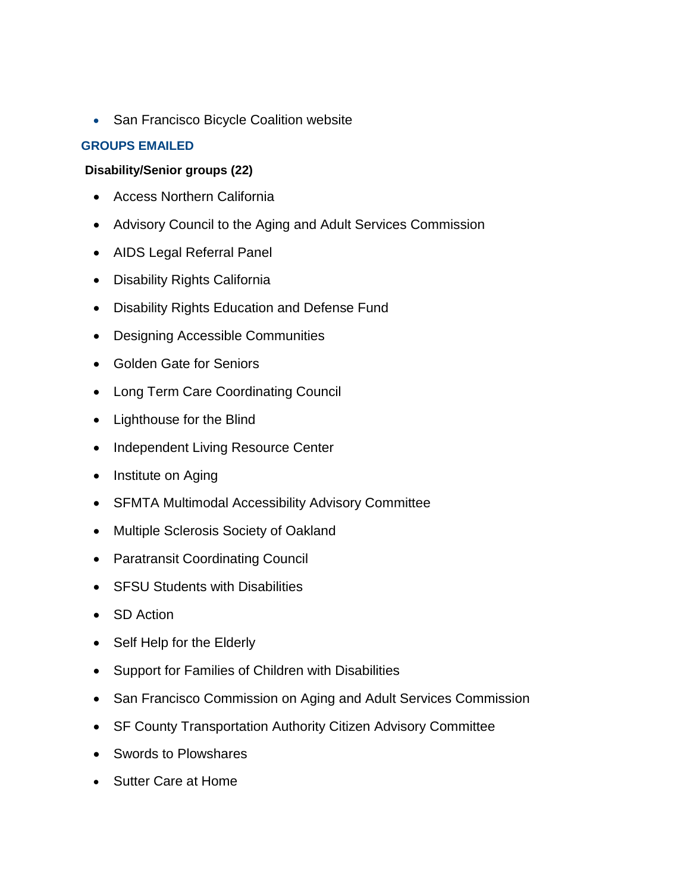• San Francisco Bicycle Coalition website

#### **GROUPS EMAILED**

#### **Disability/Senior groups (22)**

- Access Northern California
- Advisory Council to the Aging and Adult Services Commission
- AIDS Legal Referral Panel
- Disability Rights California
- Disability Rights Education and Defense Fund
- Designing Accessible Communities
- Golden Gate for Seniors
- Long Term Care Coordinating Council
- Lighthouse for the Blind
- Independent Living Resource Center
- Institute on Aging
- SFMTA Multimodal Accessibility Advisory Committee
- Multiple Sclerosis Society of Oakland
- Paratransit Coordinating Council
- SFSU Students with Disabilities
- SD Action
- Self Help for the Elderly
- Support for Families of Children with Disabilities
- San Francisco Commission on Aging and Adult Services Commission
- SF County Transportation Authority Citizen Advisory Committee
- Swords to Plowshares
- Sutter Care at Home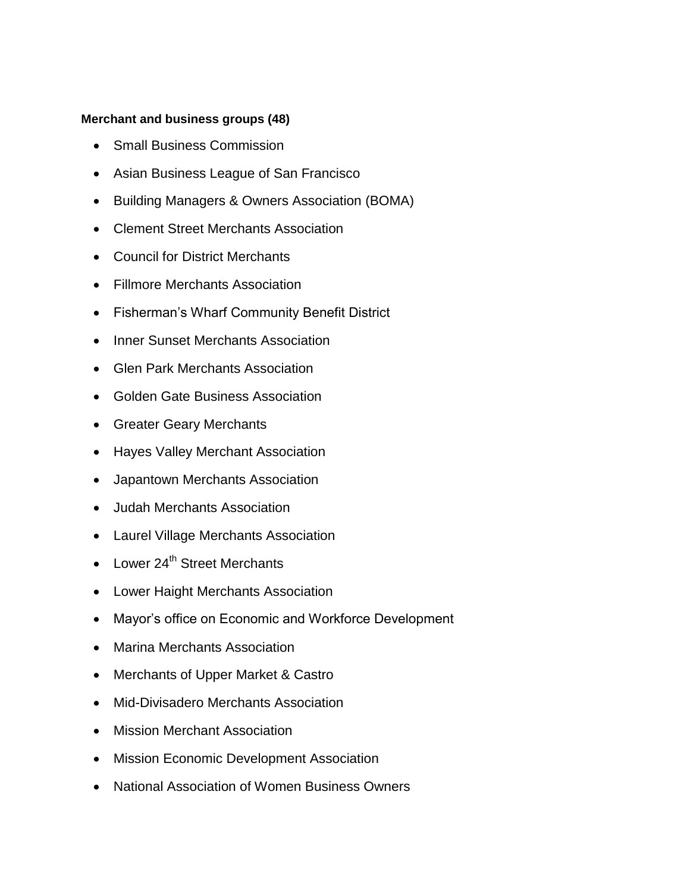#### **Merchant and business groups (48)**

- Small Business Commission
- Asian Business League of San Francisco
- Building Managers & Owners Association (BOMA)
- Clement Street Merchants Association
- Council for District Merchants
- Fillmore Merchants Association
- Fisherman's Wharf Community Benefit District
- Inner Sunset Merchants Association
- Glen Park Merchants Association
- Golden Gate Business Association
- Greater Geary Merchants
- Hayes Valley Merchant Association
- Japantown Merchants Association
- Judah Merchants Association
- Laurel Village Merchants Association
- Lower 24<sup>th</sup> Street Merchants
- Lower Haight Merchants Association
- Mayor's office on Economic and Workforce Development
- Marina Merchants Association
- Merchants of Upper Market & Castro
- Mid-Divisadero Merchants Association
- Mission Merchant Association
- Mission Economic Development Association
- National Association of Women Business Owners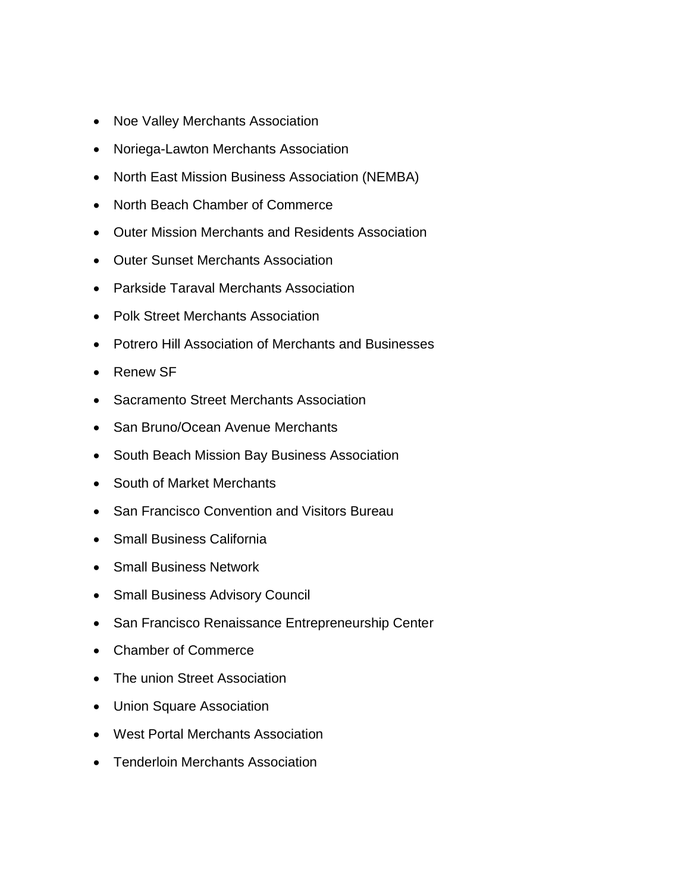- Noe Valley Merchants Association
- Noriega-Lawton Merchants Association
- North East Mission Business Association (NEMBA)
- North Beach Chamber of Commerce
- Outer Mission Merchants and Residents Association
- Outer Sunset Merchants Association
- Parkside Taraval Merchants Association
- Polk Street Merchants Association
- Potrero Hill Association of Merchants and Businesses
- Renew SF
- Sacramento Street Merchants Association
- San Bruno/Ocean Avenue Merchants
- South Beach Mission Bay Business Association
- South of Market Merchants
- San Francisco Convention and Visitors Bureau
- Small Business California
- Small Business Network
- Small Business Advisory Council
- San Francisco Renaissance Entrepreneurship Center
- Chamber of Commerce
- The union Street Association
- Union Square Association
- West Portal Merchants Association
- Tenderloin Merchants Association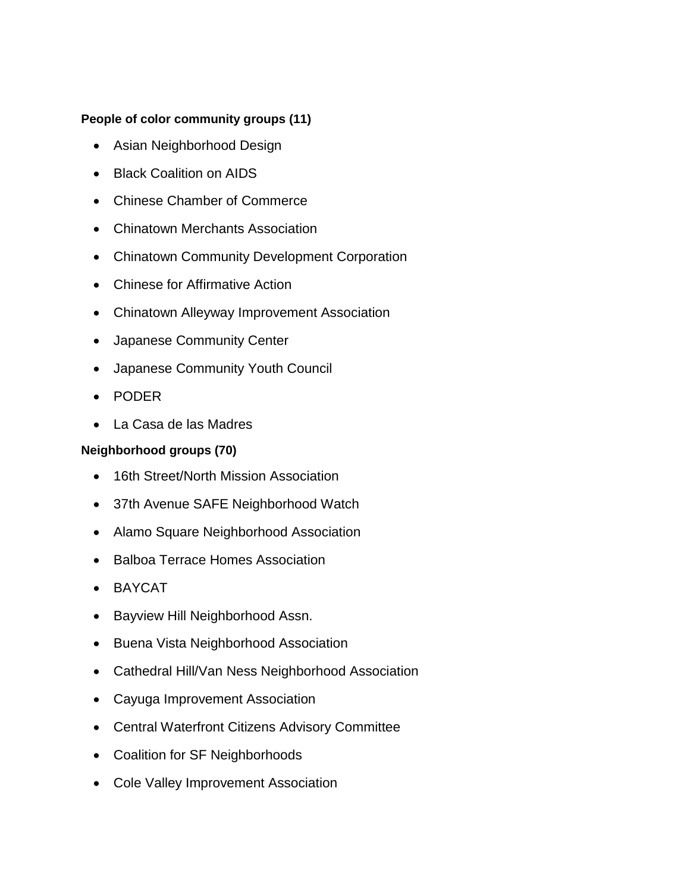#### **People of color community groups (11)**

- Asian Neighborhood Design
- Black Coalition on AIDS
- Chinese Chamber of Commerce
- Chinatown Merchants Association
- Chinatown Community Development Corporation
- Chinese for Affirmative Action
- Chinatown Alleyway Improvement Association
- Japanese Community Center
- Japanese Community Youth Council
- PODER
- La Casa de las Madres

#### **Neighborhood groups (70)**

- 16th Street/North Mission Association
- 37th Avenue SAFE Neighborhood Watch
- Alamo Square Neighborhood Association
- Balboa Terrace Homes Association
- BAYCAT
- Bayview Hill Neighborhood Assn.
- Buena Vista Neighborhood Association
- Cathedral Hill/Van Ness Neighborhood Association
- Cayuga Improvement Association
- Central Waterfront Citizens Advisory Committee
- Coalition for SF Neighborhoods
- Cole Valley Improvement Association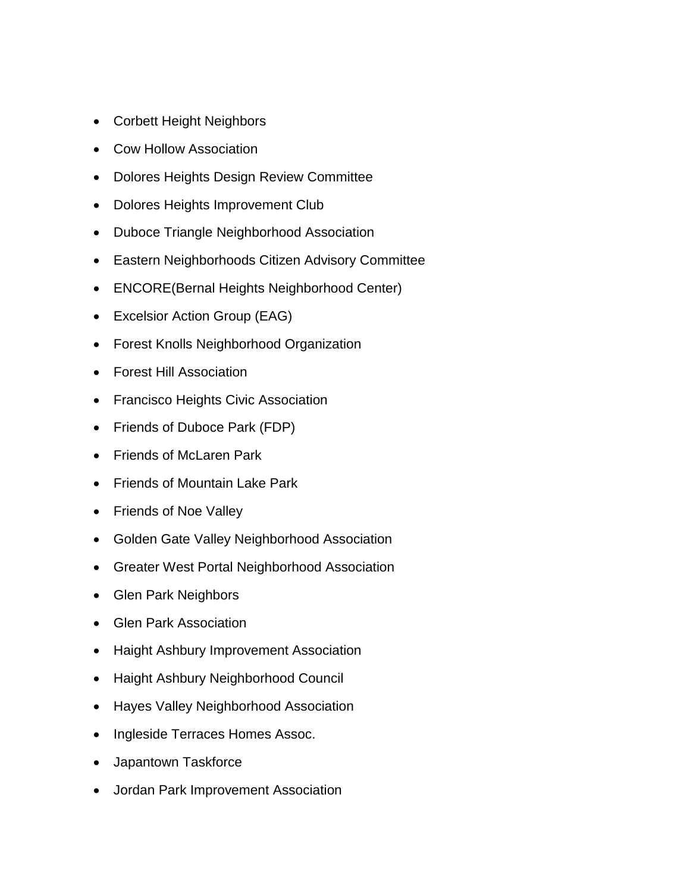- Corbett Height Neighbors
- Cow Hollow Association
- Dolores Heights Design Review Committee
- Dolores Heights Improvement Club
- Duboce Triangle Neighborhood Association
- Eastern Neighborhoods Citizen Advisory Committee
- ENCORE(Bernal Heights Neighborhood Center)
- Excelsior Action Group (EAG)
- Forest Knolls Neighborhood Organization
- Forest Hill Association
- Francisco Heights Civic Association
- Friends of Duboce Park (FDP)
- Friends of McLaren Park
- Friends of Mountain Lake Park
- Friends of Noe Valley
- Golden Gate Valley Neighborhood Association
- Greater West Portal Neighborhood Association
- Glen Park Neighbors
- Glen Park Association
- Haight Ashbury Improvement Association
- Haight Ashbury Neighborhood Council
- **Hayes Valley Neighborhood Association**
- Ingleside Terraces Homes Assoc.
- Japantown Taskforce
- Jordan Park Improvement Association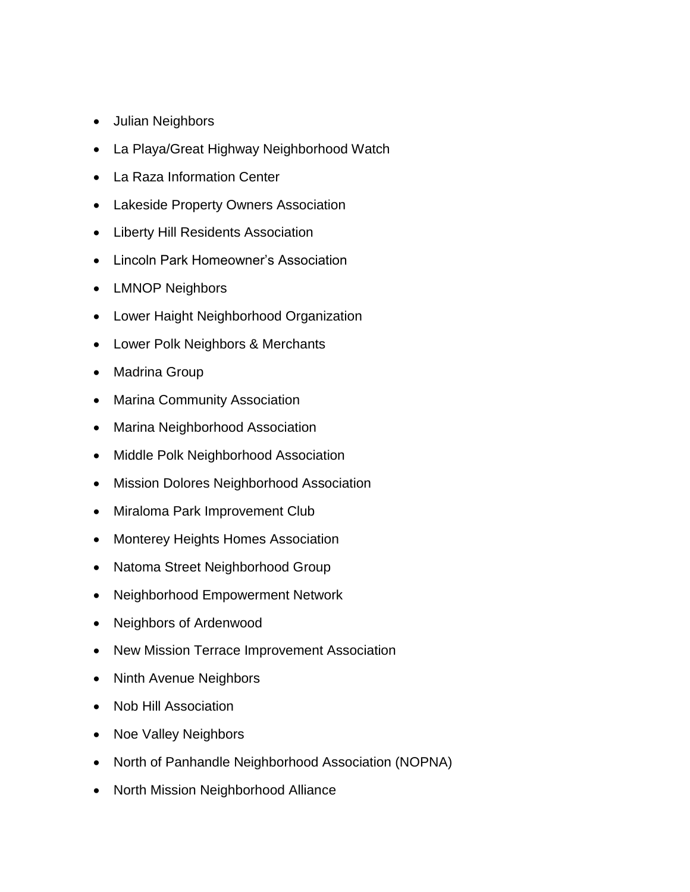- Julian Neighbors
- La Playa/Great Highway Neighborhood Watch
- La Raza Information Center
- Lakeside Property Owners Association
- Liberty Hill Residents Association
- Lincoln Park Homeowner's Association
- LMNOP Neighbors
- Lower Haight Neighborhood Organization
- Lower Polk Neighbors & Merchants
- Madrina Group
- Marina Community Association
- Marina Neighborhood Association
- Middle Polk Neighborhood Association
- Mission Dolores Neighborhood Association
- Miraloma Park Improvement Club
- Monterey Heights Homes Association
- Natoma Street Neighborhood Group
- Neighborhood Empowerment Network
- Neighbors of Ardenwood
- New Mission Terrace Improvement Association
- Ninth Avenue Neighbors
- Nob Hill Association
- Noe Valley Neighbors
- North of Panhandle Neighborhood Association (NOPNA)
- North Mission Neighborhood Alliance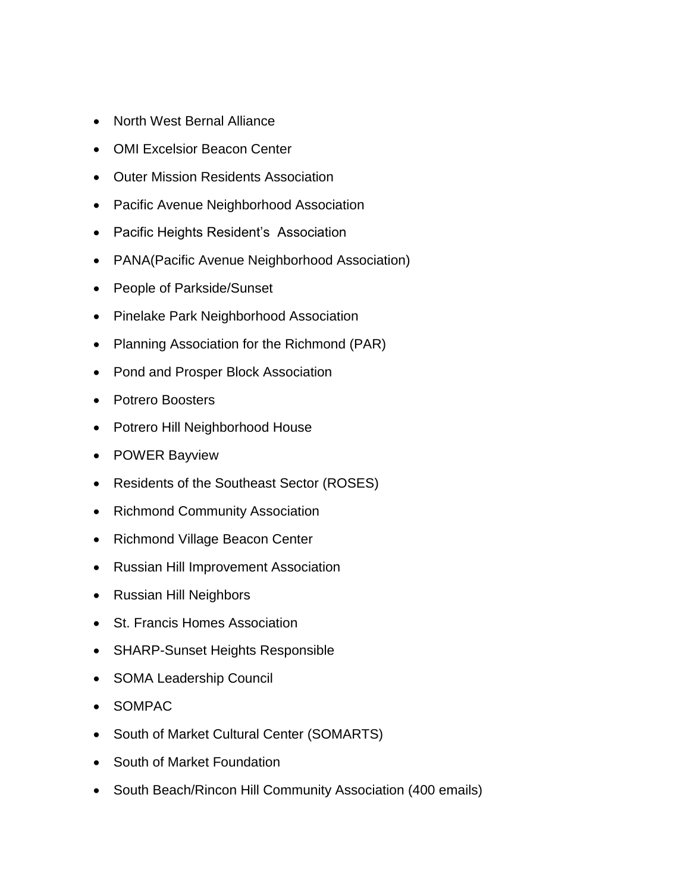- North West Bernal Alliance
- OMI Excelsior Beacon Center
- Outer Mission Residents Association
- Pacific Avenue Neighborhood Association
- Pacific Heights Resident's Association
- PANA(Pacific Avenue Neighborhood Association)
- People of Parkside/Sunset
- Pinelake Park Neighborhood Association
- Planning Association for the Richmond (PAR)
- Pond and Prosper Block Association
- Potrero Boosters
- Potrero Hill Neighborhood House
- POWER Bayview
- Residents of the Southeast Sector (ROSES)
- Richmond Community Association
- Richmond Village Beacon Center
- Russian Hill Improvement Association
- Russian Hill Neighbors
- St. Francis Homes Association
- SHARP-Sunset Heights Responsible
- SOMA Leadership Council
- SOMPAC
- South of Market Cultural Center (SOMARTS)
- South of Market Foundation
- South Beach/Rincon Hill Community Association (400 emails)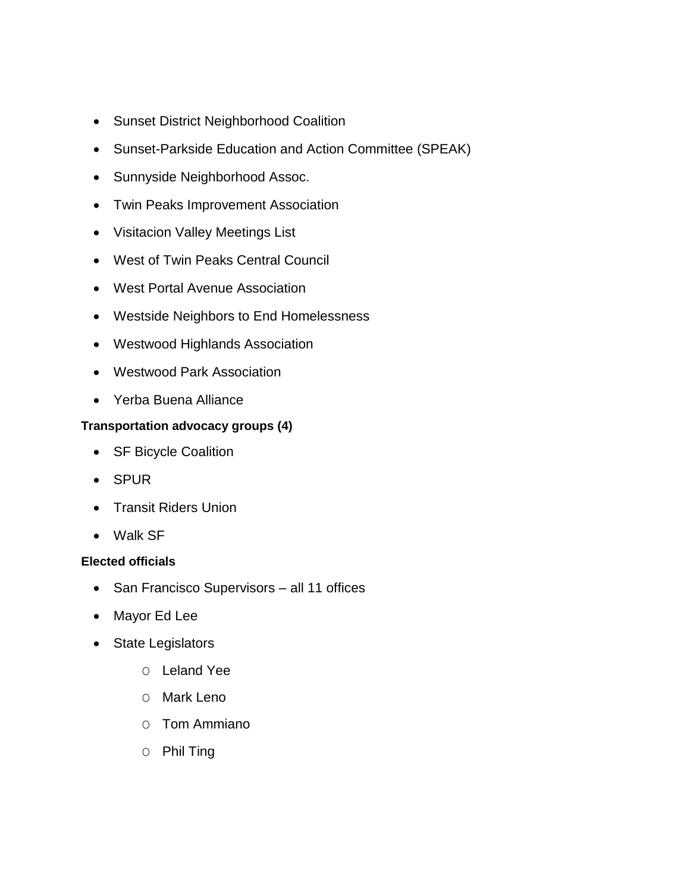- Sunset District Neighborhood Coalition
- Sunset-Parkside Education and Action Committee (SPEAK)
- Sunnyside Neighborhood Assoc.
- Twin Peaks Improvement Association
- Visitacion Valley Meetings List
- West of Twin Peaks Central Council
- West Portal Avenue Association
- Westside Neighbors to End Homelessness
- Westwood Highlands Association
- Westwood Park Association
- Yerba Buena Alliance

#### **Transportation advocacy groups (4)**

- SF Bicycle Coalition
- SPUR
- Transit Riders Union
- Walk SF

#### **Elected officials**

- San Francisco Supervisors all 11 offices
- Mayor Ed Lee
- State Legislators
	- O Leland Yee
	- O Mark Leno
	- O Tom Ammiano
	- O Phil Ting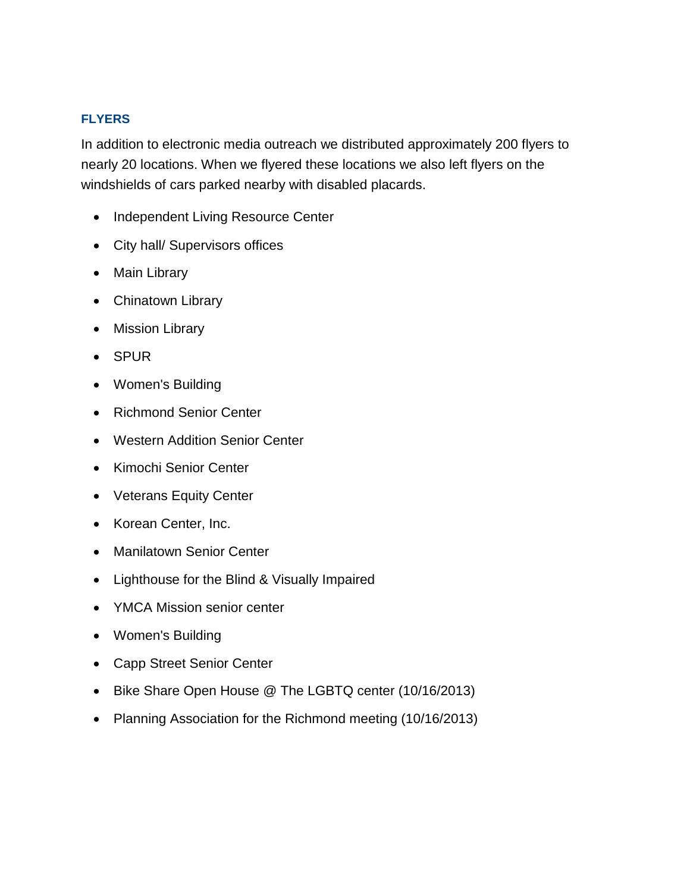#### **FLYERS**

In addition to electronic media outreach we distributed approximately 200 flyers to nearly 20 locations. When we flyered these locations we also left flyers on the windshields of cars parked nearby with disabled placards.

- Independent Living Resource Center
- City hall/ Supervisors offices
- Main Library
- Chinatown Library
- Mission Library
- SPUR
- Women's Building
- Richmond Senior Center
- Western Addition Senior Center
- Kimochi Senior Center
- Veterans Equity Center
- Korean Center, Inc.
- Manilatown Senior Center
- Lighthouse for the Blind & Visually Impaired
- YMCA Mission senior center
- Women's Building
- Capp Street Senior Center
- Bike Share Open House @ The LGBTQ center (10/16/2013)
- Planning Association for the Richmond meeting (10/16/2013)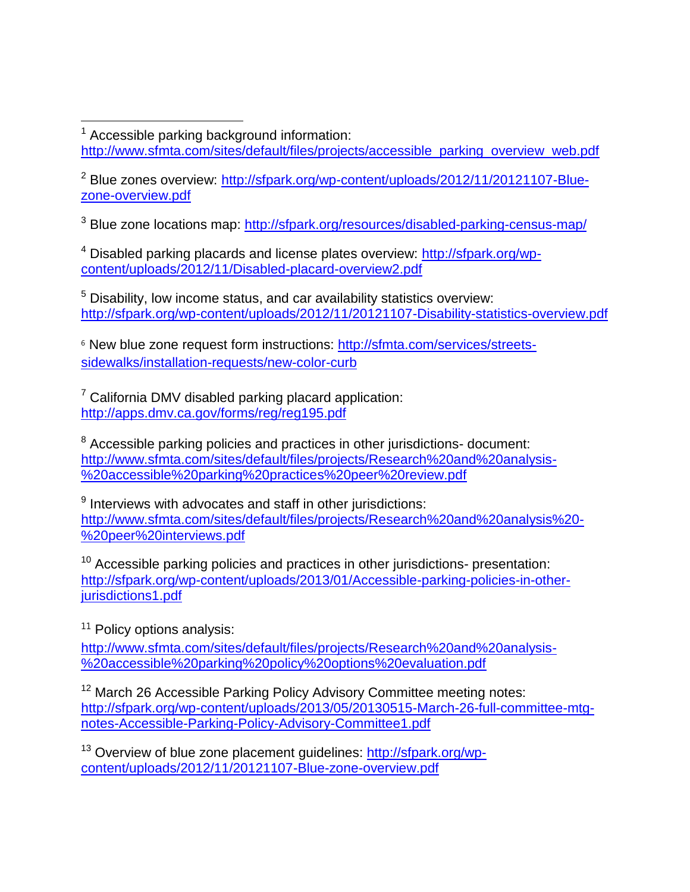$\overline{a}$  $1$  Accessible parking background information:

[http://www.sfmta.com/sites/default/files/projects/accessible\\_parking\\_overview\\_web.pdf](http://www.sfmta.com/sites/default/files/projects/accessible_parking_overview_web.pdf)

<sup>2</sup> Blue zones overview: [http://sfpark.org/wp-content/uploads/2012/11/20121107-Blue](http://sfpark.org/wp-content/uploads/2012/11/20121107-Blue-zone-overview.pdf)[zone-overview.pdf](http://sfpark.org/wp-content/uploads/2012/11/20121107-Blue-zone-overview.pdf)

<sup>3</sup> Blue zone locations map:<http://sfpark.org/resources/disabled-parking-census-map/>

<sup>4</sup> Disabled parking placards and license plates overview: [http://sfpark.org/wp](http://sfpark.org/wp-content/uploads/2012/11/Disabled-placard-overview2.pdf)[content/uploads/2012/11/Disabled-placard-overview2.pdf](http://sfpark.org/wp-content/uploads/2012/11/Disabled-placard-overview2.pdf)

<sup>5</sup> Disability, low income status, and car availability statistics overview: <http://sfpark.org/wp-content/uploads/2012/11/20121107-Disability-statistics-overview.pdf>

<sup>6</sup> New blue zone request form instructions: [http://sfmta.com/services/streets](http://sfmta.com/services/streets-sidewalks/installation-requests/new-color-curb)[sidewalks/installation-requests/new-color-curb](http://sfmta.com/services/streets-sidewalks/installation-requests/new-color-curb)

 $7$  California DMV disabled parking placard application: <http://apps.dmv.ca.gov/forms/reg/reg195.pdf>

<sup>8</sup> Accessible parking policies and practices in other jurisdictions- document: [http://www.sfmta.com/sites/default/files/projects/Research%20and%20analysis-](http://www.sfmta.com/sites/default/files/projects/Research%20and%20analysis-%20accessible%20parking%20practices%20peer%20review.pdf) [%20accessible%20parking%20practices%20peer%20review.pdf](http://www.sfmta.com/sites/default/files/projects/Research%20and%20analysis-%20accessible%20parking%20practices%20peer%20review.pdf)

 $9$  Interviews with advocates and staff in other jurisdictions: [http://www.sfmta.com/sites/default/files/projects/Research%20and%20analysis%20-](http://www.sfmta.com/sites/default/files/projects/Research%20and%20analysis%20-%20peer%20interviews.pdf) [%20peer%20interviews.pdf](http://www.sfmta.com/sites/default/files/projects/Research%20and%20analysis%20-%20peer%20interviews.pdf)

 $10$  Accessible parking policies and practices in other jurisdictions- presentation: [http://sfpark.org/wp-content/uploads/2013/01/Accessible-parking-policies-in-other](http://sfpark.org/wp-content/uploads/2013/01/Accessible-parking-policies-in-other-jurisdictions1.pdf)[jurisdictions1.pdf](http://sfpark.org/wp-content/uploads/2013/01/Accessible-parking-policies-in-other-jurisdictions1.pdf)

<sup>11</sup> Policy options analysis:

[http://www.sfmta.com/sites/default/files/projects/Research%20and%20analysis-](http://www.sfmta.com/sites/default/files/projects/Research%20and%20analysis-%20accessible%20parking%20policy%20options%20evaluation.pdf) [%20accessible%20parking%20policy%20options%20evaluation.pdf](http://www.sfmta.com/sites/default/files/projects/Research%20and%20analysis-%20accessible%20parking%20policy%20options%20evaluation.pdf)

<sup>12</sup> March 26 Accessible Parking Policy Advisory Committee meeting notes: [http://sfpark.org/wp-content/uploads/2013/05/20130515-March-26-full-committee-mtg](http://sfpark.org/wp-content/uploads/2013/05/20130515-March-26-full-committee-mtg-notes-Accessible-Parking-Policy-Advisory-Committee1.pdf)[notes-Accessible-Parking-Policy-Advisory-Committee1.pdf](http://sfpark.org/wp-content/uploads/2013/05/20130515-March-26-full-committee-mtg-notes-Accessible-Parking-Policy-Advisory-Committee1.pdf)

<sup>13</sup> Overview of blue zone placement guidelines: [http://sfpark.org/wp](http://sfpark.org/wp-content/uploads/2012/11/20121107-Blue-zone-overview.pdf)[content/uploads/2012/11/20121107-Blue-zone-overview.pdf](http://sfpark.org/wp-content/uploads/2012/11/20121107-Blue-zone-overview.pdf)